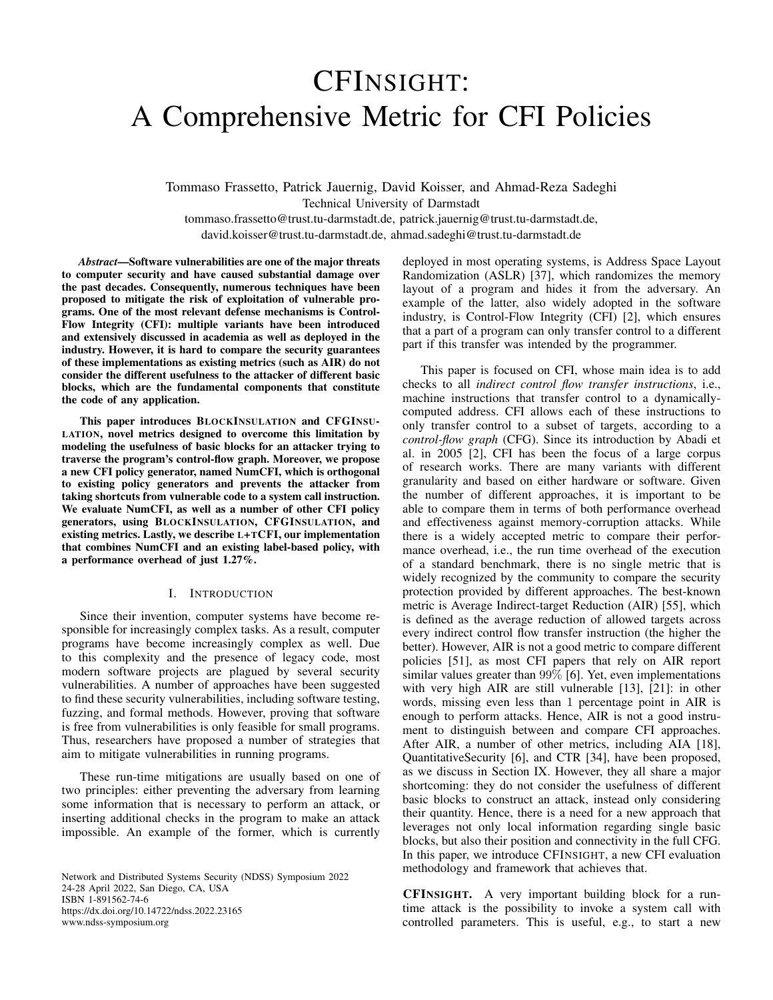# CFINSIGHT: A Comprehensive Metric for CFI Policies

Tommaso Frassetto, Patrick Jauernig, David Koisser, and Ahmad-Reza Sadeghi Technical University of Darmstadt tommaso.frassetto@trust.tu-darmstadt.de, patrick.jauernig@trust.tu-darmstadt.de,

david.koisser@trust.tu-darmstadt.de, ahmad.sadeghi@trust.tu-darmstadt.de

*Abstract*—Software vulnerabilities are one of the major threats to computer security and have caused substantial damage over the past decades. Consequently, numerous techniques have been proposed to mitigate the risk of exploitation of vulnerable programs. One of the most relevant defense mechanisms is Control-Flow Integrity (CFI): multiple variants have been introduced and extensively discussed in academia as well as deployed in the industry. However, it is hard to compare the security guarantees of these implementations as existing metrics (such as AIR) do not consider the different usefulness to the attacker of different basic blocks, which are the fundamental components that constitute the code of any application.

This paper introduces BLOCKINSULATION and CFGINSU-LATION, novel metrics designed to overcome this limitation by modeling the usefulness of basic blocks for an attacker trying to traverse the program's control-flow graph. Moreover, we propose a new CFI policy generator, named NumCFI, which is orthogonal to existing policy generators and prevents the attacker from taking shortcuts from vulnerable code to a system call instruction. We evaluate NumCFI, as well as a number of other CFI policy generators, using BLOCKINSULATION, CFGINSULATION, and existing metrics. Lastly, we describe L+TCFI, our implementation that combines NumCFI and an existing label-based policy, with a performance overhead of just 1.27%.

# I. INTRODUCTION

Since their invention, computer systems have become responsible for increasingly complex tasks. As a result, computer programs have become increasingly complex as well. Due to this complexity and the presence of legacy code, most modern software projects are plagued by several security vulnerabilities. A number of approaches have been suggested to find these security vulnerabilities, including software testing, fuzzing, and formal methods. However, proving that software is free from vulnerabilities is only feasible for small programs. Thus, researchers have proposed a number of strategies that aim to mitigate vulnerabilities in running programs.

These run-time mitigations are usually based on one of two principles: either preventing the adversary from learning some information that is necessary to perform an attack, or inserting additional checks in the program to make an attack impossible. An example of the former, which is currently

Network and Distributed Systems Security (NDSS) Symposium 2022 24-28 April 2022, San Diego, CA, USA ISBN 1-891562-74-6 https://dx.doi.org/10.14722/ndss.2022.23165 www.ndss-symposium.org

deployed in most operating systems, is Address Space Layout Randomization (ASLR) [\[37\]](#page-13-0), which randomizes the memory layout of a program and hides it from the adversary. An example of the latter, also widely adopted in the software industry, is Control-Flow Integrity (CFI) [\[2\]](#page-13-1), which ensures that a part of a program can only transfer control to a different part if this transfer was intended by the programmer.

This paper is focused on CFI, whose main idea is to add checks to all *indirect control flow transfer instructions*, i.e., machine instructions that transfer control to a dynamicallycomputed address. CFI allows each of these instructions to only transfer control to a subset of targets, according to a *control-flow graph* (CFG). Since its introduction by Abadi et al. in 2005 [\[2\]](#page-13-1), CFI has been the focus of a large corpus of research works. There are many variants with different granularity and based on either hardware or software. Given the number of different approaches, it is important to be able to compare them in terms of both performance overhead and effectiveness against memory-corruption attacks. While there is a widely accepted metric to compare their performance overhead, i.e., the run time overhead of the execution of a standard benchmark, there is no single metric that is widely recognized by the community to compare the security protection provided by different approaches. The best-known metric is Average Indirect-target Reduction (AIR) [\[55\]](#page-14-0), which is defined as the average reduction of allowed targets across every indirect control flow transfer instruction (the higher the better). However, AIR is not a good metric to compare different policies [\[51\]](#page-14-1), as most CFI papers that rely on AIR report similar values greater than 99% [\[6\]](#page-13-2). Yet, even implementations with very high AIR are still vulnerable [\[13\]](#page-13-3), [\[21\]](#page-13-4): in other words, missing even less than 1 percentage point in AIR is enough to perform attacks. Hence, AIR is not a good instrument to distinguish between and compare CFI approaches. After AIR, a number of other metrics, including AIA [\[18\]](#page-13-5), QuantitativeSecurity [\[6\]](#page-13-2), and CTR [\[34\]](#page-13-6), have been proposed, as we discuss in Section [IX.](#page-11-0) However, they all share a major shortcoming: they do not consider the usefulness of different basic blocks to construct an attack, instead only considering their quantity. Hence, there is a need for a new approach that leverages not only local information regarding single basic blocks, but also their position and connectivity in the full CFG. In this paper, we introduce CFINSIGHT, a new CFI evaluation methodology and framework that achieves that.

CFINSIGHT. A very important building block for a runtime attack is the possibility to invoke a system call with controlled parameters. This is useful, e.g., to start a new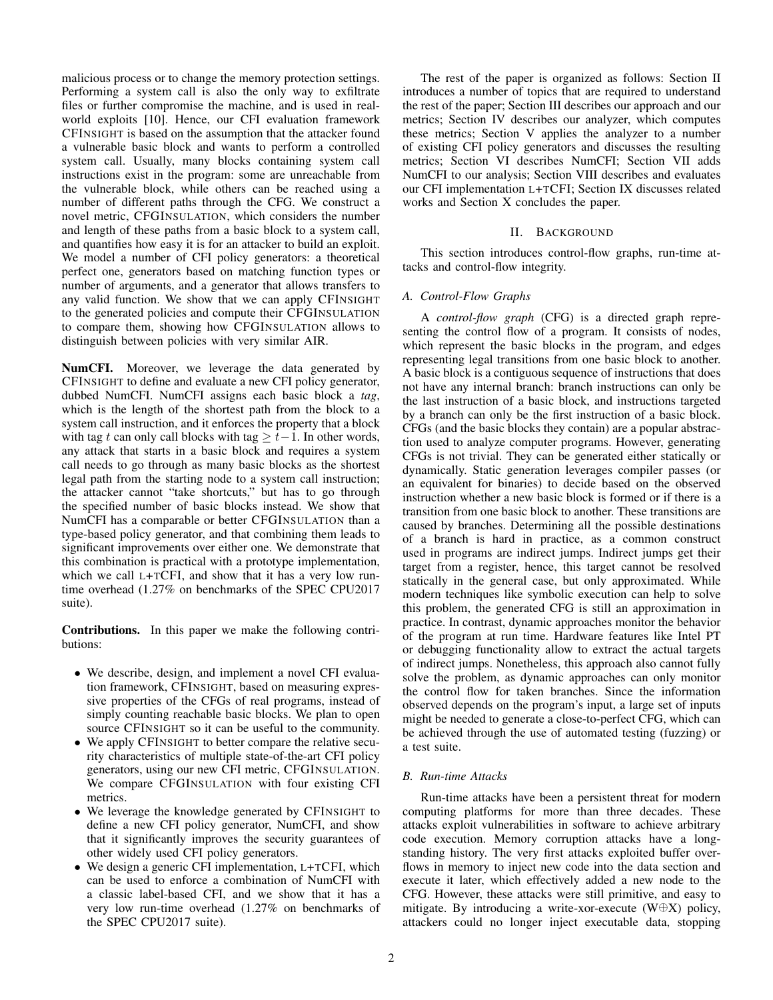malicious process or to change the memory protection settings. Performing a system call is also the only way to exfiltrate files or further compromise the machine, and is used in realworld exploits [\[10\]](#page-13-7). Hence, our CFI evaluation framework CFINSIGHT is based on the assumption that the attacker found a vulnerable basic block and wants to perform a controlled system call. Usually, many blocks containing system call instructions exist in the program: some are unreachable from the vulnerable block, while others can be reached using a number of different paths through the CFG. We construct a novel metric, CFGINSULATION, which considers the number and length of these paths from a basic block to a system call, and quantifies how easy it is for an attacker to build an exploit. We model a number of CFI policy generators: a theoretical perfect one, generators based on matching function types or number of arguments, and a generator that allows transfers to any valid function. We show that we can apply CFINSIGHT to the generated policies and compute their CFGINSULATION to compare them, showing how CFGINSULATION allows to distinguish between policies with very similar AIR.

NumCFI. Moreover, we leverage the data generated by CFINSIGHT to define and evaluate a new CFI policy generator, dubbed NumCFI. NumCFI assigns each basic block a *tag*, which is the length of the shortest path from the block to a system call instruction, and it enforces the property that a block with tag t can only call blocks with tag  $\geq t-1$ . In other words, any attack that starts in a basic block and requires a system call needs to go through as many basic blocks as the shortest legal path from the starting node to a system call instruction; the attacker cannot "take shortcuts," but has to go through the specified number of basic blocks instead. We show that NumCFI has a comparable or better CFGINSULATION than a type-based policy generator, and that combining them leads to significant improvements over either one. We demonstrate that this combination is practical with a prototype implementation, which we call L+TCFI, and show that it has a very low runtime overhead (1.27% on benchmarks of the SPEC CPU2017 suite).

Contributions. In this paper we make the following contributions:

- We describe, design, and implement a novel CFI evaluation framework, CFINSIGHT, based on measuring expressive properties of the CFGs of real programs, instead of simply counting reachable basic blocks. We plan to open source CFINSIGHT so it can be useful to the community.
- We apply CFINSIGHT to better compare the relative security characteristics of multiple state-of-the-art CFI policy generators, using our new CFI metric, CFGINSULATION. We compare CFGINSULATION with four existing CFI metrics.
- We leverage the knowledge generated by CFINSIGHT to define a new CFI policy generator, NumCFI, and show that it significantly improves the security guarantees of other widely used CFI policy generators.
- We design a generic CFI implementation, L+TCFI, which can be used to enforce a combination of NumCFI with a classic label-based CFI, and we show that it has a very low run-time overhead (1.27% on benchmarks of the SPEC CPU2017 suite).

The rest of the paper is organized as follows: Section [II](#page-1-0) introduces a number of topics that are required to understand the rest of the paper; Section [III](#page-2-0) describes our approach and our metrics; Section [IV](#page-4-0) describes our analyzer, which computes these metrics; Section [V](#page-6-0) applies the analyzer to a number of existing CFI policy generators and discusses the resulting metrics; Section [VI](#page-7-0) describes NumCFI; Section [VII](#page-8-0) adds NumCFI to our analysis; Section [VIII](#page-10-0) describes and evaluates our CFI implementation L+TCFI; Section [IX](#page-11-0) discusses related works and Section [X](#page-12-0) concludes the paper.

# II. BACKGROUND

<span id="page-1-0"></span>This section introduces control-flow graphs, run-time attacks and control-flow integrity.

# <span id="page-1-2"></span>*A. Control-Flow Graphs*

A *control-flow graph* (CFG) is a directed graph representing the control flow of a program. It consists of nodes, which represent the basic blocks in the program, and edges representing legal transitions from one basic block to another. A basic block is a contiguous sequence of instructions that does not have any internal branch: branch instructions can only be the last instruction of a basic block, and instructions targeted by a branch can only be the first instruction of a basic block. CFGs (and the basic blocks they contain) are a popular abstraction used to analyze computer programs. However, generating CFGs is not trivial. They can be generated either statically or dynamically. Static generation leverages compiler passes (or an equivalent for binaries) to decide based on the observed instruction whether a new basic block is formed or if there is a transition from one basic block to another. These transitions are caused by branches. Determining all the possible destinations of a branch is hard in practice, as a common construct used in programs are indirect jumps. Indirect jumps get their target from a register, hence, this target cannot be resolved statically in the general case, but only approximated. While modern techniques like symbolic execution can help to solve this problem, the generated CFG is still an approximation in practice. In contrast, dynamic approaches monitor the behavior of the program at run time. Hardware features like Intel PT or debugging functionality allow to extract the actual targets of indirect jumps. Nonetheless, this approach also cannot fully solve the problem, as dynamic approaches can only monitor the control flow for taken branches. Since the information observed depends on the program's input, a large set of inputs might be needed to generate a close-to-perfect CFG, which can be achieved through the use of automated testing (fuzzing) or a test suite.

# <span id="page-1-1"></span>*B. Run-time Attacks*

Run-time attacks have been a persistent threat for modern computing platforms for more than three decades. These attacks exploit vulnerabilities in software to achieve arbitrary code execution. Memory corruption attacks have a longstanding history. The very first attacks exploited buffer overflows in memory to inject new code into the data section and execute it later, which effectively added a new node to the CFG. However, these attacks were still primitive, and easy to mitigate. By introducing a write-xor-execute (W⊕X) policy, attackers could no longer inject executable data, stopping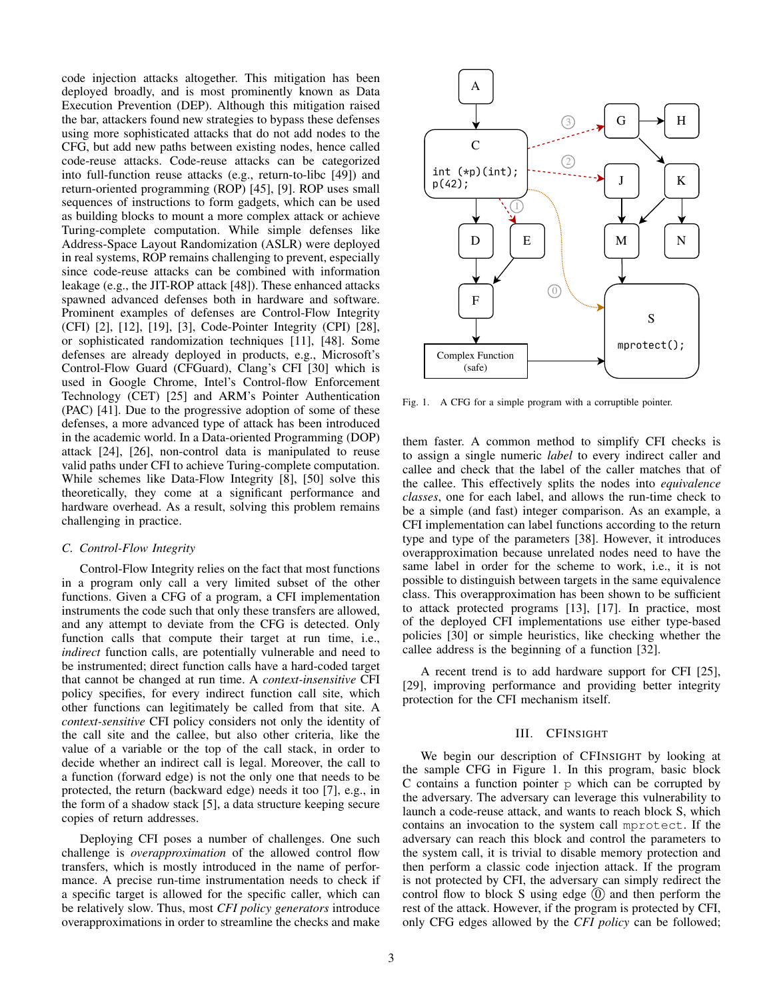code injection attacks altogether. This mitigation has been deployed broadly, and is most prominently known as Data Execution Prevention (DEP). Although this mitigation raised the bar, attackers found new strategies to bypass these defenses using more sophisticated attacks that do not add nodes to the CFG, but add new paths between existing nodes, hence called code-reuse attacks. Code-reuse attacks can be categorized into full-function reuse attacks (e.g., return-to-libc [\[49\]](#page-14-2)) and return-oriented programming (ROP) [\[45\]](#page-14-3), [\[9\]](#page-13-8). ROP uses small sequences of instructions to form gadgets, which can be used as building blocks to mount a more complex attack or achieve Turing-complete computation. While simple defenses like Address-Space Layout Randomization (ASLR) were deployed in real systems, ROP remains challenging to prevent, especially since code-reuse attacks can be combined with information leakage (e.g., the JIT-ROP attack [\[48\]](#page-14-4)). These enhanced attacks spawned advanced defenses both in hardware and software. Prominent examples of defenses are Control-Flow Integrity (CFI) [\[2\]](#page-13-1), [\[12\]](#page-13-9), [\[19\]](#page-13-10), [\[3\]](#page-13-11), Code-Pointer Integrity (CPI) [\[28\]](#page-13-12), or sophisticated randomization techniques [\[11\]](#page-13-13), [\[48\]](#page-14-4). Some defenses are already deployed in products, e.g., Microsoft's Control-Flow Guard (CFGuard), Clang's CFI [\[30\]](#page-13-14) which is used in Google Chrome, Intel's Control-flow Enforcement Technology (CET) [\[25\]](#page-13-15) and ARM's Pointer Authentication (PAC) [\[41\]](#page-14-5). Due to the progressive adoption of some of these defenses, a more advanced type of attack has been introduced in the academic world. In a Data-oriented Programming (DOP) attack [\[24\]](#page-13-16), [\[26\]](#page-13-17), non-control data is manipulated to reuse valid paths under CFI to achieve Turing-complete computation. While schemes like Data-Flow Integrity [\[8\]](#page-13-18), [\[50\]](#page-14-6) solve this theoretically, they come at a significant performance and hardware overhead. As a result, solving this problem remains challenging in practice.

### <span id="page-2-2"></span>*C. Control-Flow Integrity*

Control-Flow Integrity relies on the fact that most functions in a program only call a very limited subset of the other functions. Given a CFG of a program, a CFI implementation instruments the code such that only these transfers are allowed, and any attempt to deviate from the CFG is detected. Only function calls that compute their target at run time, i.e., *indirect* function calls, are potentially vulnerable and need to be instrumented; direct function calls have a hard-coded target that cannot be changed at run time. A *context-insensitive* CFI policy specifies, for every indirect function call site, which other functions can legitimately be called from that site. A *context-sensitive* CFI policy considers not only the identity of the call site and the callee, but also other criteria, like the value of a variable or the top of the call stack, in order to decide whether an indirect call is legal. Moreover, the call to a function (forward edge) is not the only one that needs to be protected, the return (backward edge) needs it too [\[7\]](#page-13-19), e.g., in the form of a shadow stack [\[5\]](#page-13-20), a data structure keeping secure copies of return addresses.

Deploying CFI poses a number of challenges. One such challenge is *overapproximation* of the allowed control flow transfers, which is mostly introduced in the name of performance. A precise run-time instrumentation needs to check if a specific target is allowed for the specific caller, which can be relatively slow. Thus, most *CFI policy generators* introduce overapproximations in order to streamline the checks and make



<span id="page-2-1"></span>Fig. 1. A CFG for a simple program with a corruptible pointer.

them faster. A common method to simplify CFI checks is to assign a single numeric *label* to every indirect caller and callee and check that the label of the caller matches that of the callee. This effectively splits the nodes into *equivalence classes*, one for each label, and allows the run-time check to be a simple (and fast) integer comparison. As an example, a CFI implementation can label functions according to the return type and type of the parameters [\[38\]](#page-13-21). However, it introduces overapproximation because unrelated nodes need to have the same label in order for the scheme to work, i.e., it is not possible to distinguish between targets in the same equivalence class. This overapproximation has been shown to be sufficient to attack protected programs [\[13\]](#page-13-3), [\[17\]](#page-13-22). In practice, most of the deployed CFI implementations use either type-based policies [\[30\]](#page-13-14) or simple heuristics, like checking whether the callee address is the beginning of a function [\[32\]](#page-13-23).

A recent trend is to add hardware support for CFI [\[25\]](#page-13-15), [\[29\]](#page-13-24), improving performance and providing better integrity protection for the CFI mechanism itself.

# III. CFINSIGHT

<span id="page-2-0"></span>We begin our description of CFINSIGHT by looking at the sample CFG in Figure [1.](#page-2-1) In this program, basic block C contains a function pointer p which can be corrupted by the adversary. The adversary can leverage this vulnerability to launch a code-reuse attack, and wants to reach block S, which contains an invocation to the system call mprotect. If the adversary can reach this block and control the parameters to the system call, it is trivial to disable memory protection and then perform a classic code injection attack. If the program is not protected by CFI, the adversary can simply redirect the control flow to block S using edge  $(0)$  and then perform the rest of the attack. However, if the program is protected by CFI, only CFG edges allowed by the *CFI policy* can be followed;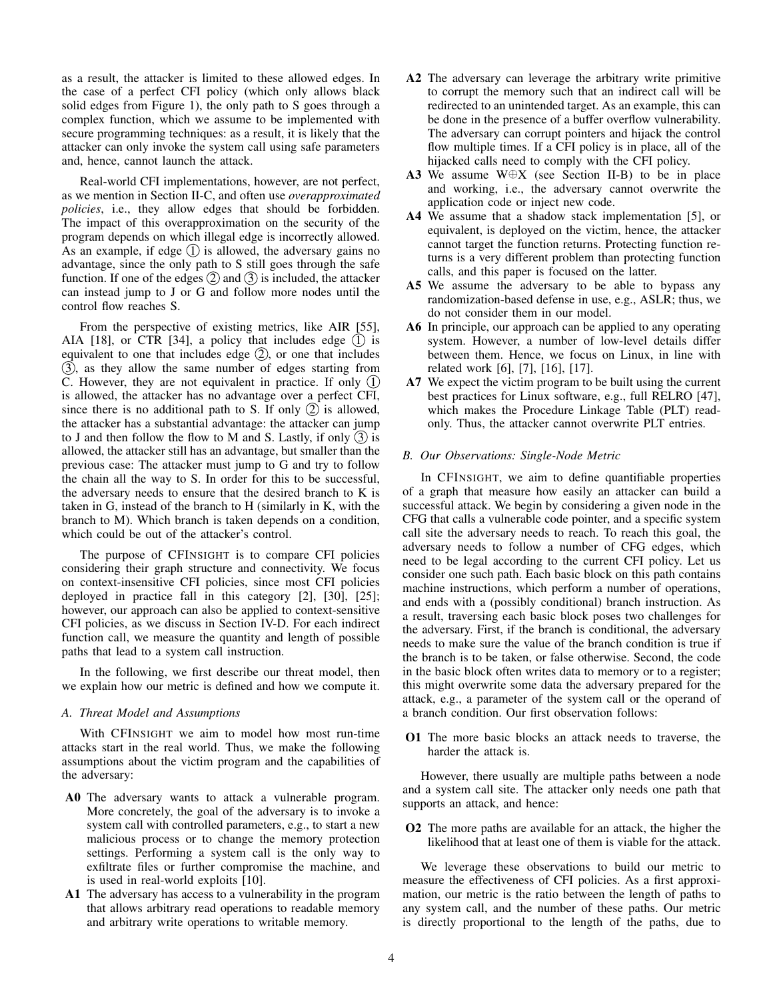as a result, the attacker is limited to these allowed edges. In the case of a perfect CFI policy (which only allows black solid edges from Figure [1\)](#page-2-1), the only path to S goes through a complex function, which we assume to be implemented with secure programming techniques: as a result, it is likely that the attacker can only invoke the system call using safe parameters and, hence, cannot launch the attack.

Real-world CFI implementations, however, are not perfect, as we mention in Section [II-C,](#page-2-2) and often use *overapproximated policies*, i.e., they allow edges that should be forbidden. The impact of this overapproximation on the security of the program depends on which illegal edge is incorrectly allowed. As an example, if edge  $(1)$  is allowed, the adversary gains no advantage, since the only path to S still goes through the safe function. If one of the edges  $(2)$  and  $(3)$  is included, the attacker can instead jump to J or G and follow more nodes until the control flow reaches S.

From the perspective of existing metrics, like AIR [\[55\]](#page-14-0), AIA [\[18\]](#page-13-5), or CTR [\[34\]](#page-13-6), a policy that includes edge  $(1)$  is equivalent to one that includes edge  $(2)$ , or one that includes (3), as they allow the same number of edges starting from C. However, they are not equivalent in practice. If only  $(1)$ is allowed, the attacker has no advantage over a perfect CFI, since there is no additional path to S. If only  $(2)$  is allowed, the attacker has a substantial advantage: the attacker can jump to J and then follow the flow to M and S. Lastly, if only  $(3)$  is allowed, the attacker still has an advantage, but smaller than the previous case: The attacker must jump to G and try to follow the chain all the way to S. In order for this to be successful, the adversary needs to ensure that the desired branch to K is taken in G, instead of the branch to H (similarly in K, with the branch to M). Which branch is taken depends on a condition, which could be out of the attacker's control.

The purpose of CFINSIGHT is to compare CFI policies considering their graph structure and connectivity. We focus on context-insensitive CFI policies, since most CFI policies deployed in practice fall in this category [\[2\]](#page-13-1), [\[30\]](#page-13-14), [\[25\]](#page-13-15); however, our approach can also be applied to context-sensitive CFI policies, as we discuss in Section [IV-D.](#page-5-0) For each indirect function call, we measure the quantity and length of possible paths that lead to a system call instruction.

In the following, we first describe our threat model, then we explain how our metric is defined and how we compute it.

# *A. Threat Model and Assumptions*

With CFINSIGHT we aim to model how most run-time attacks start in the real world. Thus, we make the following assumptions about the victim program and the capabilities of the adversary:

- <span id="page-3-3"></span>A0 The adversary wants to attack a vulnerable program. More concretely, the goal of the adversary is to invoke a system call with controlled parameters, e.g., to start a new malicious process or to change the memory protection settings. Performing a system call is the only way to exfiltrate files or further compromise the machine, and is used in real-world exploits [\[10\]](#page-13-7).
- A1 The adversary has access to a vulnerability in the program that allows arbitrary read operations to readable memory and arbitrary write operations to writable memory.
- A2 The adversary can leverage the arbitrary write primitive to corrupt the memory such that an indirect call will be redirected to an unintended target. As an example, this can be done in the presence of a buffer overflow vulnerability. The adversary can corrupt pointers and hijack the control flow multiple times. If a CFI policy is in place, all of the hijacked calls need to comply with the CFI policy.
- <span id="page-3-4"></span>A3 We assume W⊕X (see Section [II-B\)](#page-1-1) to be in place and working, i.e., the adversary cannot overwrite the application code or inject new code.
- A4 We assume that a shadow stack implementation [\[5\]](#page-13-20), or equivalent, is deployed on the victim, hence, the attacker cannot target the function returns. Protecting function returns is a very different problem than protecting function calls, and this paper is focused on the latter.
- A5 We assume the adversary to be able to bypass any randomization-based defense in use, e.g., ASLR; thus, we do not consider them in our model.
- A6 In principle, our approach can be applied to any operating system. However, a number of low-level details differ between them. Hence, we focus on Linux, in line with related work [\[6\]](#page-13-2), [\[7\]](#page-13-19), [\[16\]](#page-13-25), [\[17\]](#page-13-22).
- A7 We expect the victim program to be built using the current best practices for Linux software, e.g., full RELRO [\[47\]](#page-14-7), which makes the Procedure Linkage Table (PLT) readonly. Thus, the attacker cannot overwrite PLT entries.

# <span id="page-3-2"></span>*B. Our Observations: Single-Node Metric*

In CFINSIGHT, we aim to define quantifiable properties of a graph that measure how easily an attacker can build a successful attack. We begin by considering a given node in the CFG that calls a vulnerable code pointer, and a specific system call site the adversary needs to reach. To reach this goal, the adversary needs to follow a number of CFG edges, which need to be legal according to the current CFI policy. Let us consider one such path. Each basic block on this path contains machine instructions, which perform a number of operations, and ends with a (possibly conditional) branch instruction. As a result, traversing each basic block poses two challenges for the adversary. First, if the branch is conditional, the adversary needs to make sure the value of the branch condition is true if the branch is to be taken, or false otherwise. Second, the code in the basic block often writes data to memory or to a register; this might overwrite some data the adversary prepared for the attack, e.g., a parameter of the system call or the operand of a branch condition. Our first observation follows:

<span id="page-3-0"></span>O1 The more basic blocks an attack needs to traverse, the harder the attack is.

However, there usually are multiple paths between a node and a system call site. The attacker only needs one path that supports an attack, and hence:

<span id="page-3-1"></span>O2 The more paths are available for an attack, the higher the likelihood that at least one of them is viable for the attack.

We leverage these observations to build our metric to measure the effectiveness of CFI policies. As a first approximation, our metric is the ratio between the length of paths to any system call, and the number of these paths. Our metric is directly proportional to the length of the paths, due to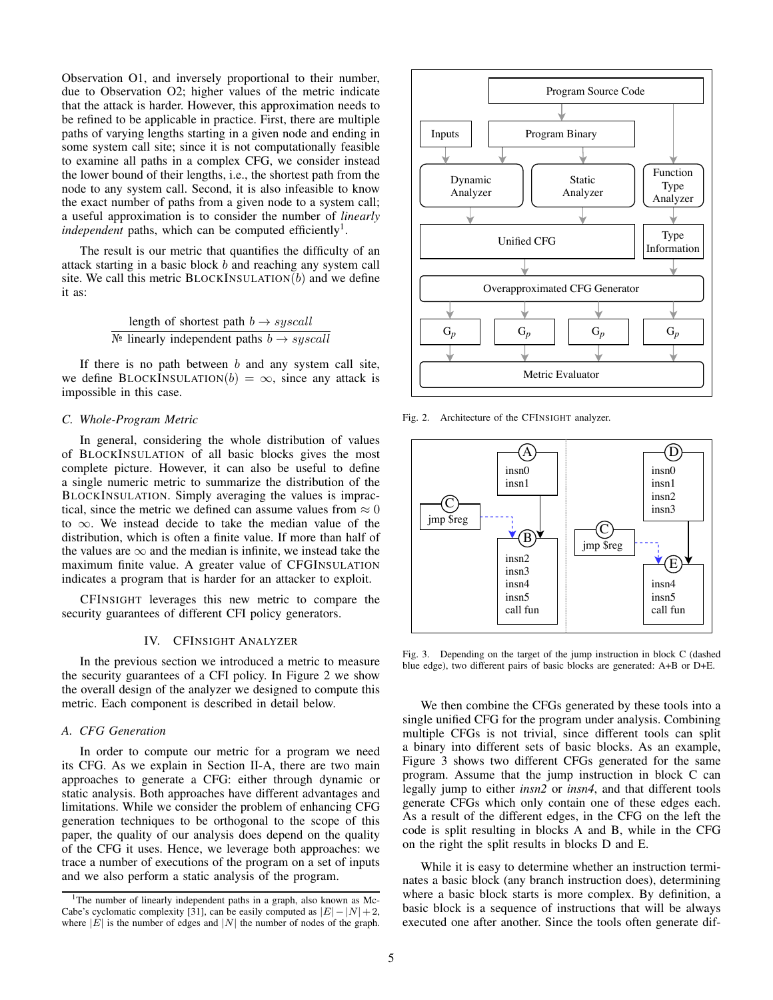Observation [O1,](#page-3-0) and inversely proportional to their number, due to Observation [O2;](#page-3-1) higher values of the metric indicate that the attack is harder. However, this approximation needs to be refined to be applicable in practice. First, there are multiple paths of varying lengths starting in a given node and ending in some system call site; since it is not computationally feasible to examine all paths in a complex CFG, we consider instead the lower bound of their lengths, i.e., the shortest path from the node to any system call. Second, it is also infeasible to know the exact number of paths from a given node to a system call; a useful approximation is to consider the number of *linearly* independent paths, which can be computed efficiently<sup>[1](#page-4-1)</sup>.

The result is our metric that quantifies the difficulty of an attack starting in a basic block b and reaching any system call site. We call this metric  $\text{BLOCKINSULATION}(b)$  and we define it as:

> length of shortest path  $b \rightarrow syscall$  $\mathbb{N}^{\mathsf{e}}$  linearly independent paths  $b \rightarrow s \iota \iota \iota$

If there is no path between  $b$  and any system call site, we define BLOCKINSULATION(b) =  $\infty$ , since any attack is impossible in this case.

# <span id="page-4-5"></span>*C. Whole-Program Metric*

In general, considering the whole distribution of values of BLOCKINSULATION of all basic blocks gives the most complete picture. However, it can also be useful to define a single numeric metric to summarize the distribution of the BLOCKINSULATION. Simply averaging the values is impractical, since the metric we defined can assume values from  $\approx 0$ to  $\infty$ . We instead decide to take the median value of the distribution, which is often a finite value. If more than half of the values are  $\infty$  and the median is infinite, we instead take the maximum finite value. A greater value of CFGINSULATION indicates a program that is harder for an attacker to exploit.

CFINSIGHT leverages this new metric to compare the security guarantees of different CFI policy generators.

# IV. CFINSIGHT ANALYZER

<span id="page-4-0"></span>In the [previous](#page-3-2) section we introduced a metric to measure the security guarantees of a CFI policy. In Figure [2](#page-4-2) we show the overall design of the analyzer we designed to compute this metric. Each component is described in detail below.

# <span id="page-4-4"></span>*A. CFG Generation*

In order to compute our metric for a program we need its CFG. As we explain in Section [II-A,](#page-1-2) there are two main approaches to generate a CFG: either through dynamic or static analysis. Both approaches have different advantages and limitations. While we consider the problem of enhancing CFG generation techniques to be orthogonal to the scope of this paper, the quality of our analysis does depend on the quality of the CFG it uses. Hence, we leverage both approaches: we trace a number of executions of the program on a set of inputs and we also perform a static analysis of the program.



<span id="page-4-2"></span>Fig. 2. Architecture of the CFINSIGHT analyzer.



<span id="page-4-3"></span>Fig. 3. Depending on the target of the jump instruction in block C (dashed blue edge), two different pairs of basic blocks are generated: A+B or D+E.

We then combine the CFGs generated by these tools into a single unified CFG for the program under analysis. Combining multiple CFGs is not trivial, since different tools can split a binary into different sets of basic blocks. As an example, Figure [3](#page-4-3) shows two different CFGs generated for the same program. Assume that the jump instruction in block C can legally jump to either *insn2* or *insn4*, and that different tools generate CFGs which only contain one of these edges each. As a result of the different edges, in the CFG on the left the code is split resulting in blocks A and B, while in the CFG on the right the split results in blocks D and E.

While it is easy to determine whether an instruction terminates a basic block (any branch instruction does), determining where a basic block starts is more complex. By definition, a basic block is a sequence of instructions that will be always executed one after another. Since the tools often generate dif-

<span id="page-4-1"></span><sup>&</sup>lt;sup>1</sup>The number of linearly independent paths in a graph, also known as Mc-Cabe's cyclomatic complexity [\[31\]](#page-13-26), can be easily computed as  $|E| - |N| + 2$ , where  $|E|$  is the number of edges and  $|N|$  the number of nodes of the graph.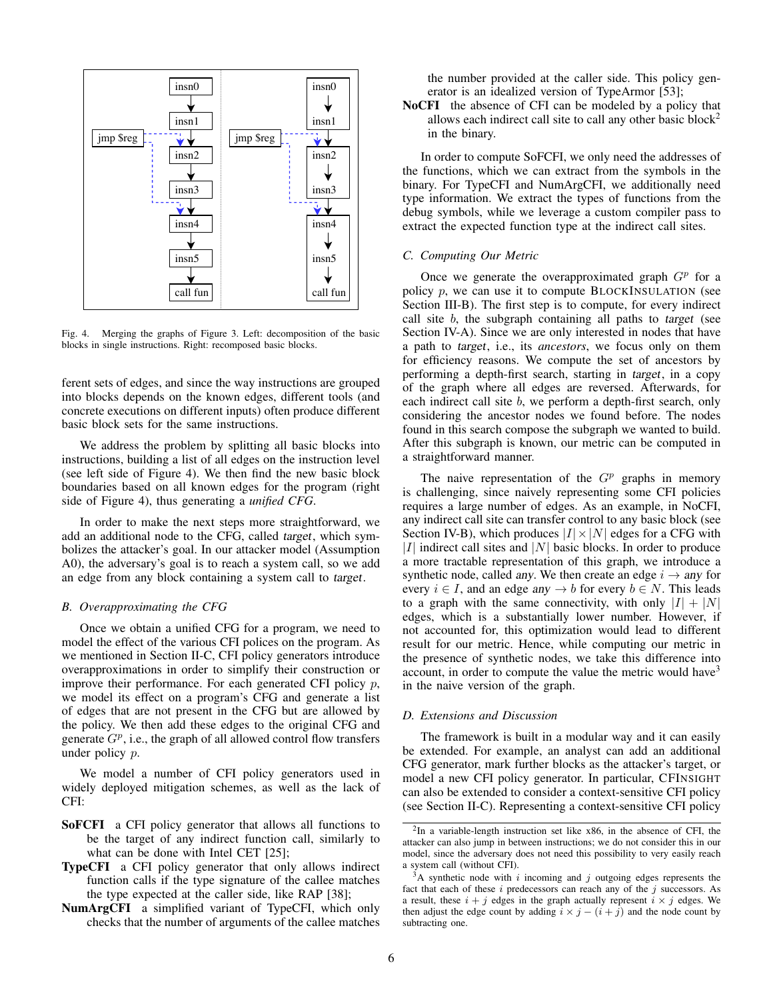

<span id="page-5-1"></span>Fig. 4. Merging the graphs of Figure [3.](#page-4-3) Left: decomposition of the basic blocks in single instructions. Right: recomposed basic blocks.

ferent sets of edges, and since the way instructions are grouped into blocks depends on the known edges, different tools (and concrete executions on different inputs) often produce different basic block sets for the same instructions.

We address the problem by splitting all basic blocks into instructions, building a list of all edges on the instruction level (see left side of Figure [4\)](#page-5-1). We then find the new basic block boundaries based on all known edges for the program (right side of Figure [4\)](#page-5-1), thus generating a *unified CFG*.

In order to make the next steps more straightforward, we add an additional node to the CFG, called target, which symbolizes the attacker's goal. In our attacker model (Assumption [A0\)](#page-3-3), the adversary's goal is to reach a system call, so we add an edge from any block containing a system call to target.

# <span id="page-5-3"></span>*B. Overapproximating the CFG*

Once we obtain a unified CFG for a program, we need to model the effect of the various CFI polices on the program. As we mentioned in Section [II-C,](#page-2-2) CFI policy generators introduce overapproximations in order to simplify their construction or improve their performance. For each generated CFI policy p, we model its effect on a program's CFG and generate a list of edges that are not present in the CFG but are allowed by the policy. We then add these edges to the original CFG and generate  $G^p$ , i.e., the graph of all allowed control flow transfers under policy p.

We model a number of CFI policy generators used in widely deployed mitigation schemes, as well as the lack of CFI:

- SoFCFI a CFI policy generator that allows all functions to be the target of any indirect function call, similarly to what can be done with Intel CET [\[25\]](#page-13-15);
- TypeCFI a CFI policy generator that only allows indirect function calls if the type signature of the callee matches the type expected at the caller side, like RAP [\[38\]](#page-13-21);
- NumArgCFI a simplified variant of TypeCFI, which only checks that the number of arguments of the callee matches

the number provided at the caller side. This policy generator is an idealized version of TypeArmor [\[53\]](#page-14-8);

NoCFI the absence of CFI can be modeled by a policy that allows each indirect call site to call any other basic block<sup>[2](#page-5-2)</sup> in the binary.

In order to compute SoFCFI, we only need the addresses of the functions, which we can extract from the symbols in the binary. For TypeCFI and NumArgCFI, we additionally need type information. We extract the types of functions from the debug symbols, while we leverage a custom compiler pass to extract the expected function type at the indirect call sites.

# *C. Computing Our Metric*

Once we generate the overapproximated graph  $G<sup>p</sup>$  for a policy  $p$ , we can use it to compute BLOCKINSULATION (see Section [III-B\)](#page-3-2). The first step is to compute, for every indirect call site  $b$ , the subgraph containing all paths to target (see Section [IV-A\)](#page-4-4). Since we are only interested in nodes that have a path to target, i.e., its *ancestors*, we focus only on them for efficiency reasons. We compute the set of ancestors by performing a depth-first search, starting in target, in a copy of the graph where all edges are reversed. Afterwards, for each indirect call site b, we perform a depth-first search, only considering the ancestor nodes we found before. The nodes found in this search compose the subgraph we wanted to build. After this subgraph is known, our metric can be computed in a straightforward manner.

The naive representation of the  $G<sup>p</sup>$  graphs in memory is challenging, since naively representing some CFI policies requires a large number of edges. As an example, in NoCFI, any indirect call site can transfer control to any basic block (see Section [IV-B\)](#page-5-3), which produces  $|I| \times |N|$  edges for a CFG with | $I$ | indirect call sites and  $|N|$  basic blocks. In order to produce a more tractable representation of this graph, we introduce a synthetic node, called any. We then create an edge  $i \rightarrow any$  for every  $i \in I$ , and an edge any  $\rightarrow b$  for every  $b \in N$ . This leads to a graph with the same connectivity, with only  $|I| + |N|$ edges, which is a substantially lower number. However, if not accounted for, this optimization would lead to different result for our metric. Hence, while computing our metric in the presence of synthetic nodes, we take this difference into account, in order to compute the value the metric would have  $3$ in the naive version of the graph.

#### <span id="page-5-0"></span>*D. Extensions and Discussion*

The framework is built in a modular way and it can easily be extended. For example, an analyst can add an additional CFG generator, mark further blocks as the attacker's target, or model a new CFI policy generator. In particular, CFINSIGHT can also be extended to consider a context-sensitive CFI policy (see Section [II-C\)](#page-2-2). Representing a context-sensitive CFI policy

<span id="page-5-2"></span><sup>&</sup>lt;sup>2</sup>In a variable-length instruction set like x86, in the absence of CFI, the attacker can also jump in between instructions; we do not consider this in our model, since the adversary does not need this possibility to very easily reach a system call (without CFI).

<span id="page-5-4"></span> $3A$  synthetic node with i incoming and j outgoing edges represents the fact that each of these  $i$  predecessors can reach any of the  $j$  successors. As a result, these  $i + j$  edges in the graph actually represent  $i \times j$  edges. We then adjust the edge count by adding  $i \times j - (i + j)$  and the node count by subtracting one.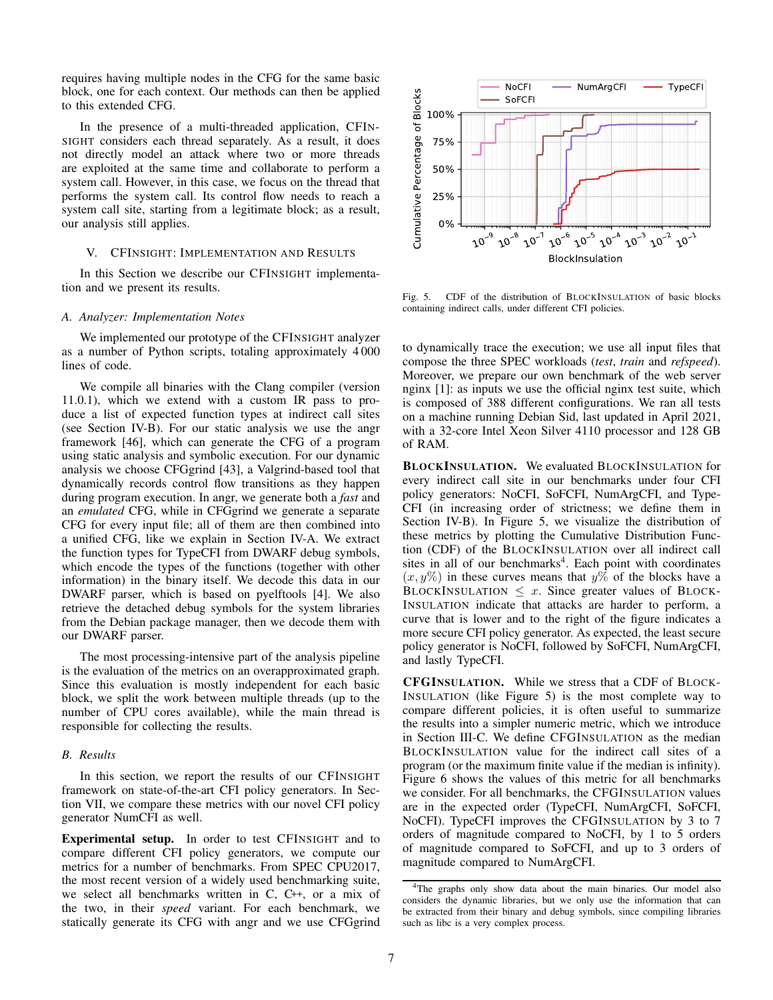requires having multiple nodes in the CFG for the same basic block, one for each context. Our methods can then be applied to this extended CFG.

In the presence of a multi-threaded application, CFIN-SIGHT considers each thread separately. As a result, it does not directly model an attack where two or more threads are exploited at the same time and collaborate to perform a system call. However, in this case, we focus on the thread that performs the system call. Its control flow needs to reach a system call site, starting from a legitimate block; as a result, our analysis still applies.

#### <span id="page-6-0"></span>V. CFINSIGHT: IMPLEMENTATION AND RESULTS

In this Section we describe our CFINSIGHT implementation and we present its results.

### *A. Analyzer: Implementation Notes*

We implemented our prototype of the CFINSIGHT analyzer as a number of Python scripts, totaling approximately 4 000 lines of code.

We compile all binaries with the Clang compiler (version 11.0.1), which we extend with a custom IR pass to produce a list of expected function types at indirect call sites (see Section [IV-B\)](#page-5-3). For our static analysis we use the angr framework [\[46\]](#page-14-9), which can generate the CFG of a program using static analysis and symbolic execution. For our dynamic analysis we choose CFGgrind [\[43\]](#page-14-10), a Valgrind-based tool that dynamically records control flow transitions as they happen during program execution. In angr, we generate both a *fast* and an *emulated* CFG, while in CFGgrind we generate a separate CFG for every input file; all of them are then combined into a unified CFG, like we explain in Section [IV-A.](#page-4-4) We extract the function types for TypeCFI from DWARF debug symbols, which encode the types of the functions (together with other information) in the binary itself. We decode this data in our DWARF parser, which is based on pyelftools [\[4\]](#page-13-27). We also retrieve the detached debug symbols for the system libraries from the Debian package manager, then we decode them with our DWARF parser.

The most processing-intensive part of the analysis pipeline is the evaluation of the metrics on an overapproximated graph. Since this evaluation is mostly independent for each basic block, we split the work between multiple threads (up to the number of CPU cores available), while the main thread is responsible for collecting the results.

# *B. Results*

In this section, we report the results of our CFINSIGHT framework on state-of-the-art CFI policy generators. In Section [VII,](#page-8-0) we compare these metrics with our novel CFI policy generator NumCFI as well.

Experimental setup. In order to test CFINSIGHT and to compare different CFI policy generators, we compute our metrics for a number of benchmarks. From SPEC CPU2017, the most recent version of a widely used benchmarking suite, we select all benchmarks written in C, C++, or a mix of the two, in their *speed* variant. For each benchmark, we statically generate its CFG with angr and we use CFGgrind



<span id="page-6-1"></span>Fig. 5. CDF of the distribution of BLOCKINSULATION of basic blocks containing indirect calls, under different CFI policies.

to dynamically trace the execution; we use all input files that compose the three SPEC workloads (*test*, *train* and *refspeed*). Moreover, we prepare our own benchmark of the web server nginx [\[1\]](#page-13-28): as inputs we use the official nginx test suite, which is composed of 388 different configurations. We ran all tests on a machine running Debian Sid, last updated in April 2021, with a 32-core Intel Xeon Silver 4110 processor and 128 GB of RAM.

BLOCKINSULATION. We evaluated BLOCKINSULATION for every indirect call site in our benchmarks under four CFI policy generators: NoCFI, SoFCFI, NumArgCFI, and Type-CFI (in increasing order of strictness; we define them in Section [IV-B\)](#page-5-3). In Figure [5,](#page-6-1) we visualize the distribution of these metrics by plotting the Cumulative Distribution Function (CDF) of the BLOCKINSULATION over all indirect call sites in all of our benchmarks<sup>[4](#page-6-2)</sup>. Each point with coordinates  $(x, y\%)$  in these curves means that  $y\%$  of the blocks have a BLOCKINSULATION  $\leq x$ . Since greater values of BLOCK-INSULATION indicate that attacks are harder to perform, a curve that is lower and to the right of the figure indicates a more secure CFI policy generator. As expected, the least secure policy generator is NoCFI, followed by SoFCFI, NumArgCFI, and lastly TypeCFI.

CFGINSULATION. While we stress that a CDF of BLOCK-INSULATION (like Figure [5\)](#page-6-1) is the most complete way to compare different policies, it is often useful to summarize the results into a simpler numeric metric, which we introduce in Section [III-C.](#page-4-5) We define CFGINSULATION as the median BLOCKINSULATION value for the indirect call sites of a program (or the maximum finite value if the median is infinity). Figure [6](#page-7-1) shows the values of this metric for all benchmarks we consider. For all benchmarks, the CFGINSULATION values are in the expected order (TypeCFI, NumArgCFI, SoFCFI, NoCFI). TypeCFI improves the CFGINSULATION by 3 to 7 orders of magnitude compared to NoCFI, by 1 to 5 orders of magnitude compared to SoFCFI, and up to 3 orders of magnitude compared to NumArgCFI.

<span id="page-6-2"></span><sup>4</sup>The graphs only show data about the main binaries. Our model also considers the dynamic libraries, but we only use the information that can be extracted from their binary and debug symbols, since compiling libraries such as libc is a very complex process.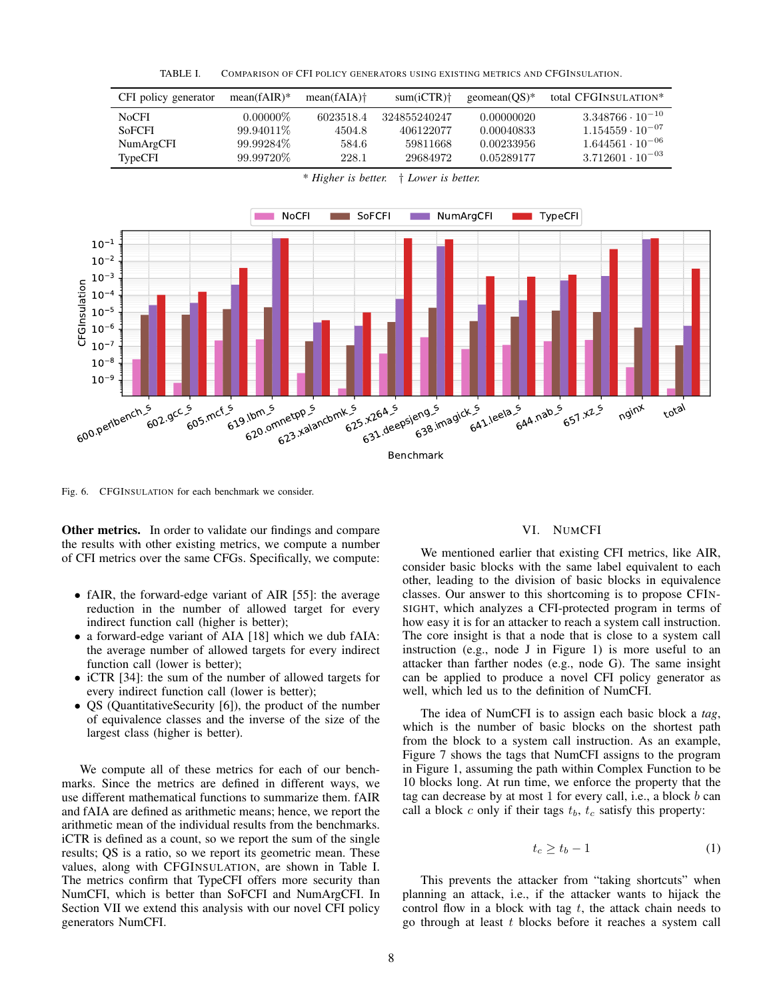<span id="page-7-2"></span>TABLE I. COMPARISON OF CFI POLICY GENERATORS USING EXISTING METRICS AND CFGINSULATION.



<span id="page-7-1"></span>Fig. 6. CFGINSULATION for each benchmark we consider.

**Other metrics.** In order to validate our findings and compare the results with other existing metrics, we compute a number of CFI metrics over the same CFGs. Specifically, we compute:

- fAIR, the forward-edge variant of AIR [\[55\]](#page-14-0): the average reduction in the number of allowed target for every indirect function call (higher is better);
- a forward-edge variant of AIA [\[18\]](#page-13-5) which we dub fAIA: the average number of allowed targets for every indirect function call (lower is better);
- iCTR [\[34\]](#page-13-6): the sum of the number of allowed targets for every indirect function call (lower is better);
- QS (QuantitativeSecurity [\[6\]](#page-13-2)), the product of the number of equivalence classes and the inverse of the size of the largest class (higher is better).

We compute all of these metrics for each of our benchmarks. Since the metrics are defined in different ways, we use different mathematical functions to summarize them. fAIR and fAIA are defined as arithmetic means; hence, we report the arithmetic mean of the individual results from the benchmarks. iCTR is defined as a count, so we report the sum of the single results; QS is a ratio, so we report its geometric mean. These values, along with CFGINSULATION, are shown in Table [I.](#page-7-2) The metrics confirm that TypeCFI offers more security than NumCFI, which is better than SoFCFI and NumArgCFI. In Section [VII](#page-8-0) we extend this analysis with our novel CFI policy generators NumCFI.

#### VI. NUMCFI

<span id="page-7-0"></span>We mentioned earlier that existing CFI metrics, like AIR, consider basic blocks with the same label equivalent to each other, leading to the division of basic blocks in equivalence classes. Our answer to this shortcoming is to propose CFIN-SIGHT, which analyzes a CFI-protected program in terms of how easy it is for an attacker to reach a system call instruction. The core insight is that a node that is close to a system call instruction (e.g., node J in Figure [1\)](#page-2-1) is more useful to an attacker than farther nodes (e.g., node G). The same insight can be applied to produce a novel CFI policy generator as well, which led us to the definition of NumCFI.

The idea of NumCFI is to assign each basic block a *tag*, which is the number of basic blocks on the shortest path from the block to a system call instruction. As an example, Figure [7](#page-8-1) shows the tags that NumCFI assigns to the program in Figure [1,](#page-2-1) assuming the path within Complex Function to be 10 blocks long. At run time, we enforce the property that the tag can decrease by at most 1 for every call, i.e., a block b can call a block  $c$  only if their tags  $t_b$ ,  $t_c$  satisfy this property:

<span id="page-7-3"></span>
$$
t_c \ge t_b - 1 \tag{1}
$$

This prevents the attacker from "taking shortcuts" when planning an attack, i.e., if the attacker wants to hijack the control flow in a block with tag  $t$ , the attack chain needs to go through at least t blocks before it reaches a system call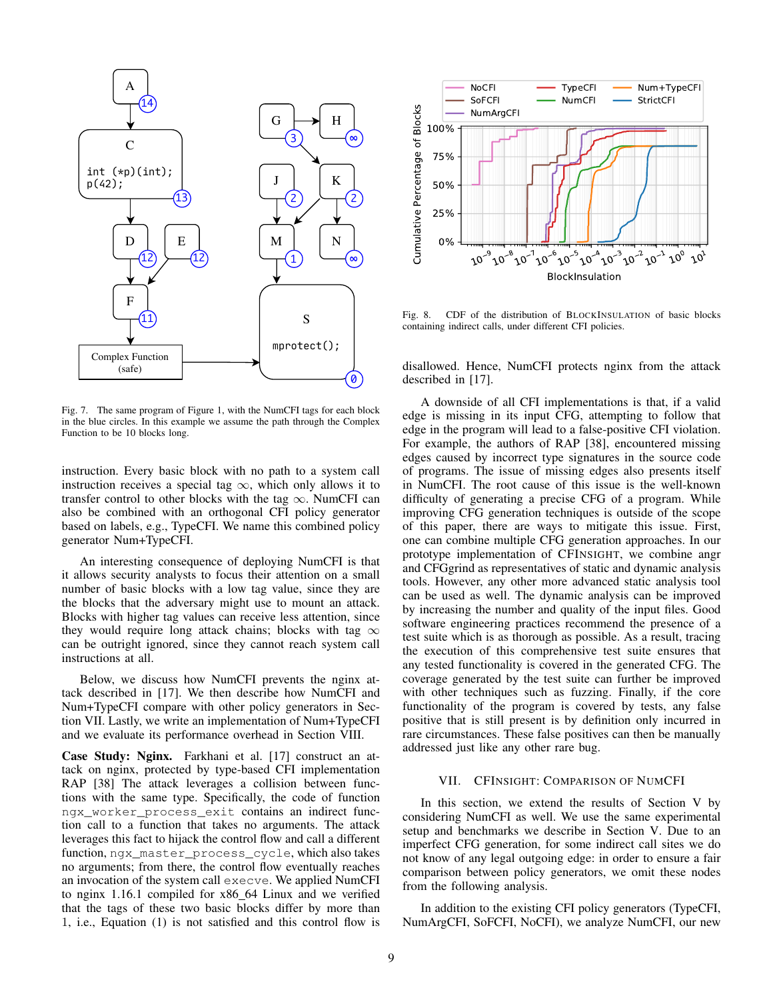

<span id="page-8-1"></span>Fig. 7. The same program of Figure [1,](#page-2-1) with the NumCFI tags for each block in the blue circles. In this example we assume the path through the Complex Function to be 10 blocks long.

instruction. Every basic block with no path to a system call instruction receives a special tag  $\infty$ , which only allows it to transfer control to other blocks with the tag  $\infty$ . NumCFI can also be combined with an orthogonal CFI policy generator based on labels, e.g., TypeCFI. We name this combined policy generator Num+TypeCFI.

An interesting consequence of deploying NumCFI is that it allows security analysts to focus their attention on a small number of basic blocks with a low tag value, since they are the blocks that the adversary might use to mount an attack. Blocks with higher tag values can receive less attention, since they would require long attack chains; blocks with tag  $\infty$ can be outright ignored, since they cannot reach system call instructions at all.

Below, we discuss how NumCFI prevents the nginx attack described in [\[17\]](#page-13-22). We then describe how NumCFI and Num+TypeCFI compare with other policy generators in Section [VII.](#page-8-0) Lastly, we write an implementation of Num+TypeCFI and we evaluate its performance overhead in Section [VIII.](#page-10-0)

Case Study: Nginx. Farkhani et al. [\[17\]](#page-13-22) construct an attack on nginx, protected by type-based CFI implementation RAP [\[38\]](#page-13-21) The attack leverages a collision between functions with the same type. Specifically, the code of function ngx\_worker\_process\_exit contains an indirect function call to a function that takes no arguments. The attack leverages this fact to hijack the control flow and call a different function, ngx\_master\_process\_cycle, which also takes no arguments; from there, the control flow eventually reaches an invocation of the system call execve. We applied NumCFI to nginx 1.16.1 compiled for x86\_64 Linux and we verified that the tags of these two basic blocks differ by more than 1, i.e., Equation [\(1\)](#page-7-3) is not satisfied and this control flow is



<span id="page-8-2"></span>Fig. 8. CDF of the distribution of BLOCKINSULATION of basic blocks containing indirect calls, under different CFI policies.

disallowed. Hence, NumCFI protects nginx from the attack described in [\[17\]](#page-13-22).

A downside of all CFI implementations is that, if a valid edge is missing in its input CFG, attempting to follow that edge in the program will lead to a false-positive CFI violation. For example, the authors of RAP [\[38\]](#page-13-21), encountered missing edges caused by incorrect type signatures in the source code of programs. The issue of missing edges also presents itself in NumCFI. The root cause of this issue is the well-known difficulty of generating a precise CFG of a program. While improving CFG generation techniques is outside of the scope of this paper, there are ways to mitigate this issue. First, one can combine multiple CFG generation approaches. In our prototype implementation of CFINSIGHT, we combine angr and CFGgrind as representatives of static and dynamic analysis tools. However, any other more advanced static analysis tool can be used as well. The dynamic analysis can be improved by increasing the number and quality of the input files. Good software engineering practices recommend the presence of a test suite which is as thorough as possible. As a result, tracing the execution of this comprehensive test suite ensures that any tested functionality is covered in the generated CFG. The coverage generated by the test suite can further be improved with other techniques such as fuzzing. Finally, if the core functionality of the program is covered by tests, any false positive that is still present is by definition only incurred in rare circumstances. These false positives can then be manually addressed just like any other rare bug.

# VII. CFINSIGHT: COMPARISON OF NUMCFI

<span id="page-8-0"></span>In this section, we extend the results of Section [V](#page-6-0) by considering NumCFI as well. We use the same experimental setup and benchmarks we describe in Section [V.](#page-6-0) Due to an imperfect CFG generation, for some indirect call sites we do not know of any legal outgoing edge: in order to ensure a fair comparison between policy generators, we omit these nodes from the following analysis.

In addition to the existing CFI policy generators (TypeCFI, NumArgCFI, SoFCFI, NoCFI), we analyze NumCFI, our new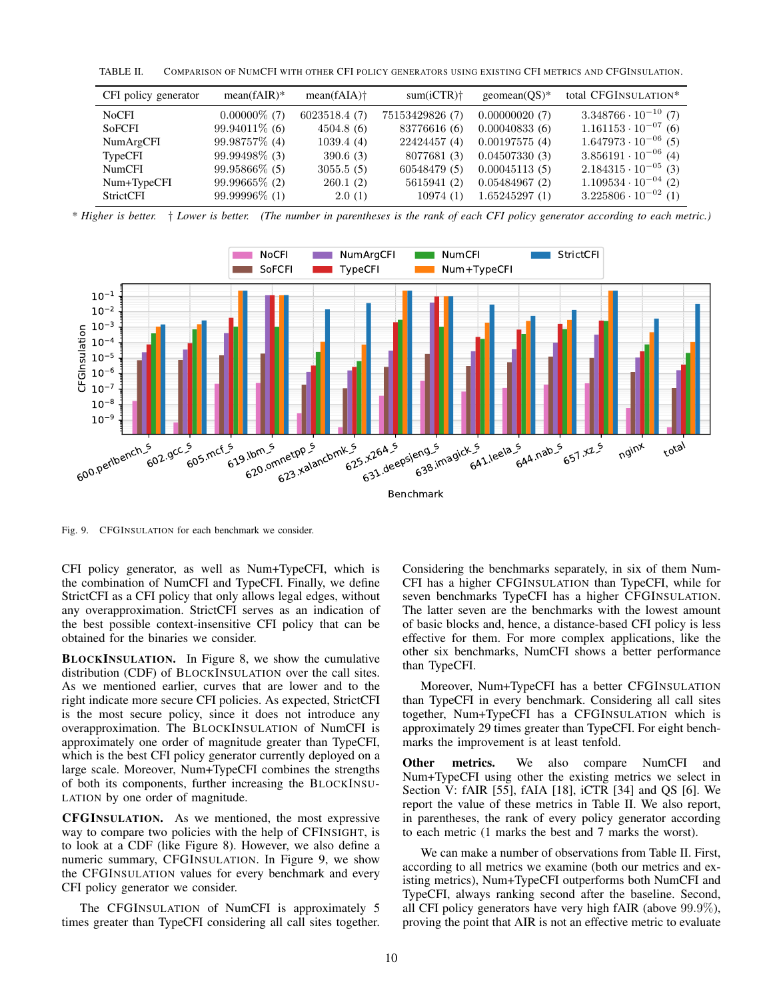<span id="page-9-1"></span>TABLE II. COMPARISON OF NUMCFI WITH OTHER CFI POLICY GENERATORS USING EXISTING CFI METRICS AND CFGINSULATION.

| CFI policy generator | $mean(fAIR)*$    | $mean(fAIA)$ <sup>+</sup> | $sum(iCTR)$ <sup>+</sup> | $geomean(QS)$ * | total CFGINSULATION*          |
|----------------------|------------------|---------------------------|--------------------------|-----------------|-------------------------------|
| <b>NoCFI</b>         | $0.00000\%$ (7)  | 6023518.4(7)              | 75153429826 (7)          | 0.00000020(7)   | $3.348766 \cdot 10^{-10}$ (7) |
| <b>SoFCFI</b>        | $99.94011\%$ (6) | 4504.8(6)                 | 83776616 (6)             | 0.00040833(6)   | $1.161153 \cdot 10^{-07}$ (6) |
| NumArgCFI            | 99.98757\% (4)   | 1039.4(4)                 | 22424457 (4)             | 0.00197575(4)   | $1.647973 \cdot 10^{-06}$ (5) |
| TypeCFI              | 99.99498\% (3)   | 390.6(3)                  | 8077681 (3)              | 0.04507330(3)   | $3.856191 \cdot 10^{-06}$ (4) |
| NumCFI               | $99.95866\%$ (5) | 3055.5(5)                 | 60548479 (5)             | 0.00045113(5)   | $2.184315 \cdot 10^{-05}$ (3) |
| Num+TypeCFI          | 99.99665\% (2)   | 260.1(2)                  | 5615941 (2)              | 0.05484967(2)   | $1.109534 \cdot 10^{-04}$ (2) |
| StrictCFI            | 99.99996\% (1)   | 2.0(1)                    | 10974(1)                 | 1.65245297(1)   | $3.225806 \cdot 10^{-02}$ (1) |

*<sup>\*</sup> Higher is better.* † *Lower is better. (The number in parentheses is the rank of each CFI policy generator according to each metric.)*



<span id="page-9-0"></span>Fig. 9. CFGINSULATION for each benchmark we consider.

CFI policy generator, as well as Num+TypeCFI, which is the combination of NumCFI and TypeCFI. Finally, we define StrictCFI as a CFI policy that only allows legal edges, without any overapproximation. StrictCFI serves as an indication of the best possible context-insensitive CFI policy that can be obtained for the binaries we consider.

BLOCKINSULATION. In Figure [8,](#page-8-2) we show the cumulative distribution (CDF) of BLOCKINSULATION over the call sites. As we mentioned earlier, curves that are lower and to the right indicate more secure CFI policies. As expected, StrictCFI is the most secure policy, since it does not introduce any overapproximation. The BLOCKINSULATION of NumCFI is approximately one order of magnitude greater than TypeCFI, which is the best CFI policy generator currently deployed on a large scale. Moreover, Num+TypeCFI combines the strengths of both its components, further increasing the BLOCKINSU-LATION by one order of magnitude.

CFGINSULATION. As we mentioned, the most expressive way to compare two policies with the help of CFINSIGHT, is to look at a CDF (like Figure [8\)](#page-8-2). However, we also define a numeric summary, CFGINSULATION. In Figure [9,](#page-9-0) we show the CFGINSULATION values for every benchmark and every CFI policy generator we consider.

The CFGINSULATION of NumCFI is approximately 5 times greater than TypeCFI considering all call sites together.

Considering the benchmarks separately, in six of them Num-CFI has a higher CFGINSULATION than TypeCFI, while for seven benchmarks TypeCFI has a higher CFGINSULATION. The latter seven are the benchmarks with the lowest amount of basic blocks and, hence, a distance-based CFI policy is less effective for them. For more complex applications, like the other six benchmarks, NumCFI shows a better performance than TypeCFI.

Moreover, Num+TypeCFI has a better CFGINSULATION than TypeCFI in every benchmark. Considering all call sites together, Num+TypeCFI has a CFGINSULATION which is approximately 29 times greater than TypeCFI. For eight benchmarks the improvement is at least tenfold.

Other metrics. We also compare NumCFI and Num+TypeCFI using other the existing metrics we select in Section [V:](#page-6-0) fAIR [\[55\]](#page-14-0), fAIA [\[18\]](#page-13-5), iCTR [\[34\]](#page-13-6) and QS [\[6\]](#page-13-2). We report the value of these metrics in Table [II.](#page-9-1) We also report, in parentheses, the rank of every policy generator according to each metric (1 marks the best and 7 marks the worst).

We can make a number of observations from Table [II.](#page-9-1) First, according to all metrics we examine (both our metrics and existing metrics), Num+TypeCFI outperforms both NumCFI and TypeCFI, always ranking second after the baseline. Second, all CFI policy generators have very high fAIR (above 99.9%), proving the point that AIR is not an effective metric to evaluate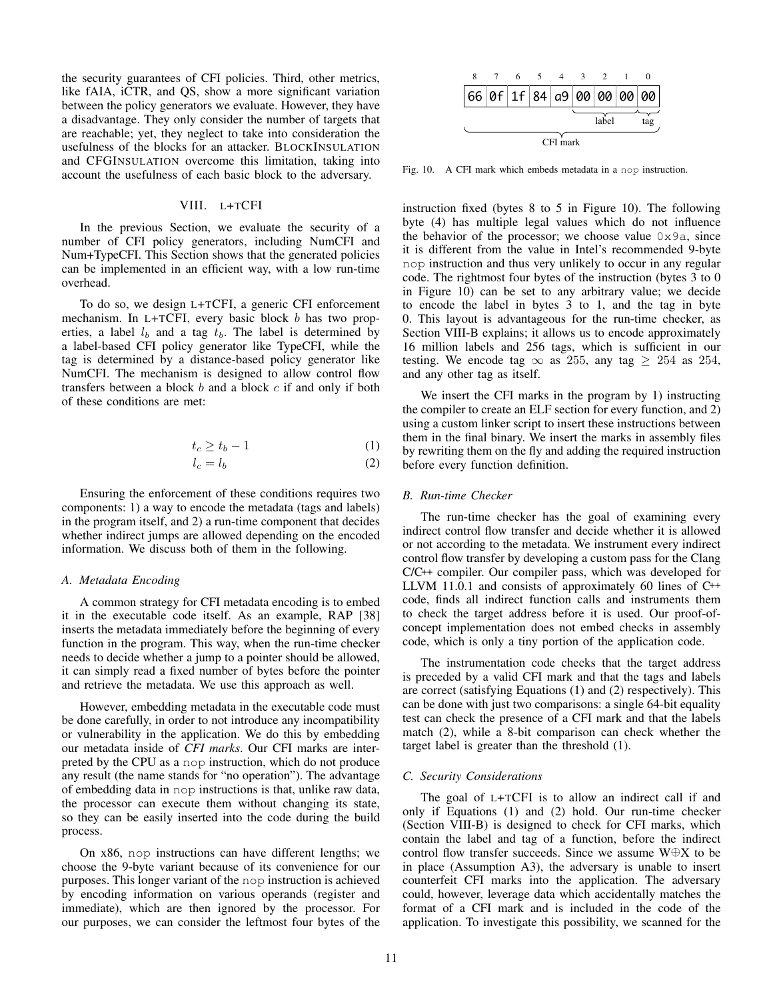the security guarantees of CFI policies. Third, other metrics, like fAIA, iCTR, and QS, show a more significant variation between the policy generators we evaluate. However, they have a disadvantage. They only consider the number of targets that are reachable; yet, they neglect to take into consideration the usefulness of the blocks for an attacker. BLOCKINSULATION and CFGINSULATION overcome this limitation, taking into account the usefulness of each basic block to the adversary.

# VIII. L+TCFI

<span id="page-10-0"></span>In the [previous](#page-8-0) Section, we evaluate the security of a number of CFI policy generators, including NumCFI and Num+TypeCFI. This Section shows that the generated policies can be implemented in an efficient way, with a low run-time overhead.

To do so, we design L+TCFI, a generic CFI enforcement mechanism. In L+TCFI, every basic block  $b$  has two properties, a label  $l_b$  and a tag  $t_b$ . The label is determined by a label-based CFI policy generator like TypeCFI, while the tag is determined by a distance-based policy generator like NumCFI. The mechanism is designed to allow control flow transfers between a block  $b$  and a block  $c$  if and only if both of these conditions are met:

$$
t_c \ge t_b - 1 \tag{1}
$$

$$
l_c = l_b \tag{2}
$$

Ensuring the enforcement of these conditions requires two components: 1) a way to encode the metadata (tags and labels) in the program itself, and 2) a run-time component that decides whether indirect jumps are allowed depending on the encoded information. We discuss both of them in the following.

#### *A. Metadata Encoding*

A common strategy for CFI metadata encoding is to embed it in the executable code itself. As an example, RAP [\[38\]](#page-13-21) inserts the metadata immediately before the beginning of every function in the program. This way, when the run-time checker needs to decide whether a jump to a pointer should be allowed, it can simply read a fixed number of bytes before the pointer and retrieve the metadata. We use this approach as well.

However, embedding metadata in the executable code must be done carefully, in order to not introduce any incompatibility or vulnerability in the application. We do this by embedding our metadata inside of *CFI marks*. Our CFI marks are interpreted by the CPU as a nop instruction, which do not produce any result (the name stands for "no operation"). The advantage of embedding data in nop instructions is that, unlike raw data, the processor can execute them without changing its state, so they can be easily inserted into the code during the build process.

On x86, nop instructions can have different lengths; we choose the 9-byte variant because of its convenience for our purposes. This longer variant of the nop instruction is achieved by encoding information on various operands (register and immediate), which are then ignored by the processor. For

|              |                            | 6 |  |  |  |  |  |  |  |  |  |
|--------------|----------------------------|---|--|--|--|--|--|--|--|--|--|
|              | 66 0f 1f 84 a9 00 00 00 00 |   |  |  |  |  |  |  |  |  |  |
| label<br>tag |                            |   |  |  |  |  |  |  |  |  |  |
| CFI mark     |                            |   |  |  |  |  |  |  |  |  |  |

<span id="page-10-1"></span>Fig. 10. A CFI mark which embeds metadata in a nop instruction.

be considered to the consider the considered the consider the left of the definite space of the left model of the left model of the left model of the left model of the left model of the left model of the space of the firs instruction fixed (bytes 8 to 5 in Figure [10\)](#page-10-1). The following byte (4) has multiple legal values which do not influence the behavior of the processor; we choose value  $0 \times 9a$ , since it is different from the value in Intel's recommended 9-byte nop instruction and thus very unlikely to occur in any regular code. The rightmost four bytes of the instruction (bytes 3 to 0 in Figure [10\)](#page-10-1) can be set to any arbitrary value; we decide to encode the label in bytes 3 to 1, and the tag in byte 0. This layout is advantageous for the run-time checker, as Section [VIII-B](#page-10-2) explains; it allows us to encode approximately 16 million labels and 256 tags, which is sufficient in our testing. We encode tag  $\infty$  as 255, any tag  $\geq$  254 as 254, and any other tag as itself.

We insert the CFI marks in the program by 1) instructing the compiler to create an ELF section for every function, and 2) using a custom linker script to insert these instructions between them in the final binary. We insert the marks in assembly files by rewriting them on the fly and adding the required instruction before every function definition.

#### <span id="page-10-3"></span><span id="page-10-2"></span>*B. Run-time Checker*

The run-time checker has the goal of examining every indirect control flow transfer and decide whether it is allowed or not according to the metadata. We instrument every indirect control flow transfer by developing a custom pass for the Clang C/C++ compiler. Our compiler pass, which was developed for LLVM 11.0.1 and consists of approximately 60 lines of C++ code, finds all indirect function calls and instruments them to check the target address before it is used. Our proof-ofconcept implementation does not embed checks in assembly code, which is only a tiny portion of the application code.

The instrumentation code checks that the target address is preceded by a valid CFI mark and that the tags and labels are correct (satisfying Equations [\(1\)](#page-7-3) and [\(2\)](#page-10-3) respectively). This can be done with just two comparisons: a single 64-bit equality test can check the presence of a CFI mark and that the labels match [\(2\)](#page-10-3), while a 8-bit comparison can check whether the target label is greater than the threshold [\(1\)](#page-7-3).

## *C. Security Considerations*

The goal of L+TCFI is to allow an indirect call if and only if Equations [\(1\)](#page-7-3) and [\(2\)](#page-10-3) hold. Our run-time checker (Section [VIII-B\)](#page-10-2) is designed to check for CFI marks, which contain the label and tag of a function, before the indirect control flow transfer succeeds. Since we assume W⊕X to be in place (Assumption [A3\)](#page-3-4), the adversary is unable to insert counterfeit CFI marks into the application. The adversary could, however, leverage data which accidentally matches the format of a CFI mark and is included in the code of the application. To investigate this possibility, we scanned for the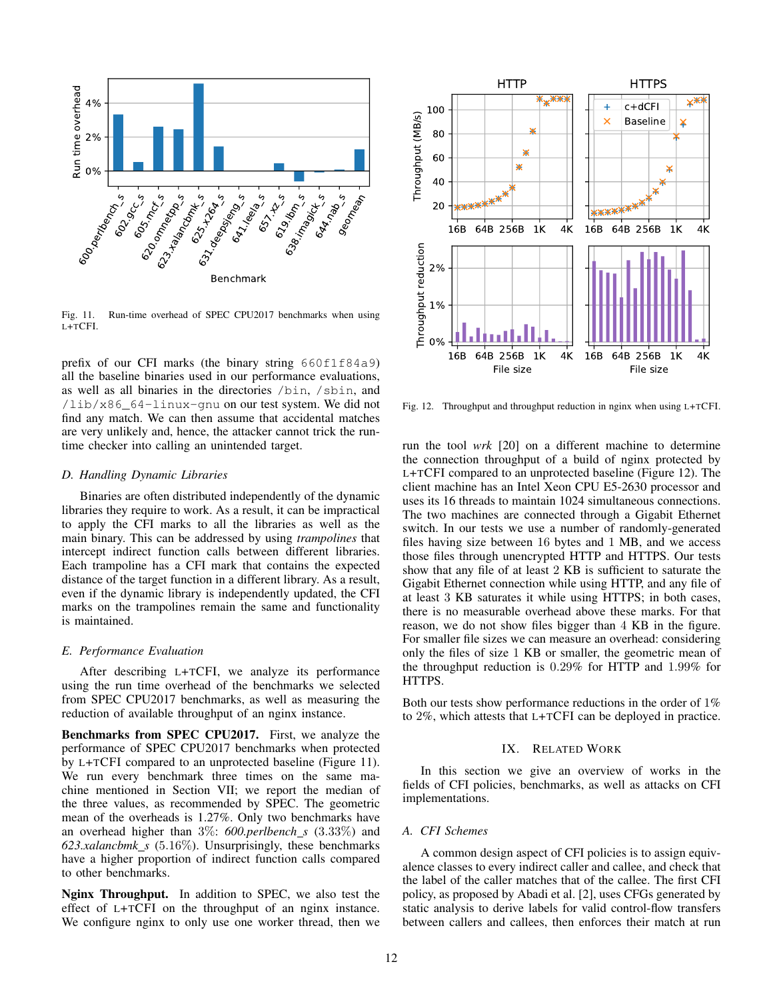

<span id="page-11-1"></span>Fig. 11. Run-time overhead of SPEC CPU2017 benchmarks when using L+TCFI.

prefix of our CFI marks (the binary string  $660f1f84a9$ ) all the baseline binaries used in our performance evaluations, as well as all binaries in the directories /bin, /sbin, and /lib/x86\_64-linux-gnu on our test system. We did not find any match. We can then assume that accidental matches are very unlikely and, hence, the attacker cannot trick the runtime checker into calling an unintended target.

#### *D. Handling Dynamic Libraries*

Binaries are often distributed independently of the dynamic libraries they require to work. As a result, it can be impractical to apply the CFI marks to all the libraries as well as the main binary. This can be addressed by using *trampolines* that intercept indirect function calls between different libraries. Each trampoline has a CFI mark that contains the expected distance of the target function in a different library. As a result, even if the dynamic library is independently updated, the CFI marks on the trampolines remain the same and functionality is maintained.

#### *E. Performance Evaluation*

After describing L+TCFI, we analyze its performance using the run time overhead of the benchmarks we selected from SPEC CPU2017 benchmarks, as well as measuring the reduction of available throughput of an nginx instance.

Benchmarks from SPEC CPU2017. First, we analyze the performance of SPEC CPU2017 benchmarks when protected by L+TCFI compared to an unprotected baseline (Figure [11\)](#page-11-1). We run every benchmark three times on the same machine mentioned in Section [VII;](#page-8-0) we report the median of the three values, as recommended by SPEC. The geometric mean of the overheads is 1.27%. Only two benchmarks have an overhead higher than 3%: 600.perlbench *s* (3.33%) and *623.xalancbmk s* (5.16%). Unsurprisingly, these benchmarks have a higher proportion of indirect function calls compared to other benchmarks.

Nginx Throughput. In addition to SPEC, we also test the effect of L+TCFI on the throughput of an nginx instance. We configure nginx to only use one worker thread, then we



<span id="page-11-2"></span>Fig. 12. Throughput and throughput reduction in nginx when using L+TCFI.

run the tool *wrk* [\[20\]](#page-13-29) on a different machine to determine the connection throughput of a build of nginx protected by L+TCFI compared to an unprotected baseline (Figure [12\)](#page-11-2). The client machine has an Intel Xeon CPU E5-2630 processor and uses its 16 threads to maintain 1024 simultaneous connections. The two machines are connected through a Gigabit Ethernet switch. In our tests we use a number of randomly-generated files having size between 16 bytes and 1 MB, and we access those files through unencrypted HTTP and HTTPS. Our tests show that any file of at least 2 KB is sufficient to saturate the Gigabit Ethernet connection while using HTTP, and any file of at least 3 KB saturates it while using HTTPS; in both cases, there is no measurable overhead above these marks. For that reason, we do not show files bigger than 4 KB in the figure. For smaller file sizes we can measure an overhead: considering only the files of size 1 KB or smaller, the geometric mean of the throughput reduction is 0.29% for HTTP and 1.99% for HTTPS.

Both our tests show performance reductions in the order of 1% to 2%, which attests that L+TCFI can be deployed in practice.

# IX. RELATED WORK

<span id="page-11-0"></span>In this section we give an overview of works in the fields of CFI policies, benchmarks, as well as attacks on CFI implementations.

# *A. CFI Schemes*

A common design aspect of CFI policies is to assign equivalence classes to every indirect caller and callee, and check that the label of the caller matches that of the callee. The first CFI policy, as proposed by Abadi et al. [\[2\]](#page-13-1), uses CFGs generated by static analysis to derive labels for valid control-flow transfers between callers and callees, then enforces their match at run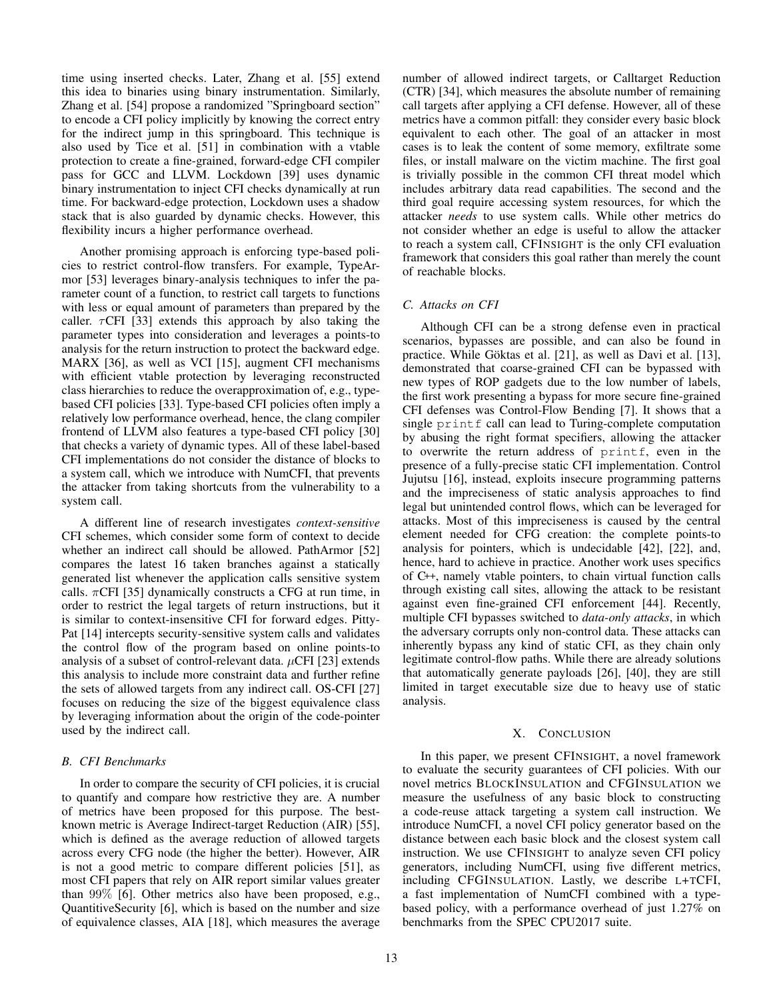time using inserted checks. Later, Zhang et al. [\[55\]](#page-14-0) extend this idea to binaries using binary instrumentation. Similarly, Zhang et al. [\[54\]](#page-14-11) propose a randomized "Springboard section" to encode a CFI policy implicitly by knowing the correct entry for the indirect jump in this springboard. This technique is also used by Tice et al. [\[51\]](#page-14-1) in combination with a vtable protection to create a fine-grained, forward-edge CFI compiler pass for GCC and LLVM. Lockdown [\[39\]](#page-13-30) uses dynamic binary instrumentation to inject CFI checks dynamically at run time. For backward-edge protection, Lockdown uses a shadow stack that is also guarded by dynamic checks. However, this flexibility incurs a higher performance overhead.

Another promising approach is enforcing type-based policies to restrict control-flow transfers. For example, TypeArmor [\[53\]](#page-14-8) leverages binary-analysis techniques to infer the parameter count of a function, to restrict call targets to functions with less or equal amount of parameters than prepared by the caller.  $\tau$ CFI [\[33\]](#page-13-31) extends this approach by also taking the parameter types into consideration and leverages a points-to analysis for the return instruction to protect the backward edge. MARX [\[36\]](#page-13-32), as well as VCI [\[15\]](#page-13-33), augment CFI mechanisms with efficient vtable protection by leveraging reconstructed class hierarchies to reduce the overapproximation of, e.g., typebased CFI policies [\[33\]](#page-13-31). Type-based CFI policies often imply a relatively low performance overhead, hence, the clang compiler frontend of LLVM also features a type-based CFI policy [\[30\]](#page-13-14) that checks a variety of dynamic types. All of these label-based CFI implementations do not consider the distance of blocks to a system call, which we introduce with NumCFI, that prevents the attacker from taking shortcuts from the vulnerability to a system call.

A different line of research investigates *context-sensitive* CFI schemes, which consider some form of context to decide whether an indirect call should be allowed. PathArmor [\[52\]](#page-14-12) compares the latest 16 taken branches against a statically generated list whenever the application calls sensitive system calls.  $\pi$ CFI [\[35\]](#page-13-34) dynamically constructs a CFG at run time, in order to restrict the legal targets of return instructions, but it is similar to context-insensitive CFI for forward edges. Pitty-Pat [\[14\]](#page-13-35) intercepts security-sensitive system calls and validates the control flow of the program based on online points-to analysis of a subset of control-relevant data.  $\mu$ CFI [\[23\]](#page-13-36) extends this analysis to include more constraint data and further refine the sets of allowed targets from any indirect call. OS-CFI [\[27\]](#page-13-37) focuses on reducing the size of the biggest equivalence class by leveraging information about the origin of the code-pointer used by the indirect call.

# *B. CFI Benchmarks*

In order to compare the security of CFI policies, it is crucial to quantify and compare how restrictive they are. A number of metrics have been proposed for this purpose. The bestknown metric is Average Indirect-target Reduction (AIR) [\[55\]](#page-14-0), which is defined as the average reduction of allowed targets across every CFG node (the higher the better). However, AIR is not a good metric to compare different policies [\[51\]](#page-14-1), as most CFI papers that rely on AIR report similar values greater than 99% [\[6\]](#page-13-2). Other metrics also have been proposed, e.g., QuantitiveSecurity [\[6\]](#page-13-2), which is based on the number and size of equivalence classes, AIA [\[18\]](#page-13-5), which measures the average number of allowed indirect targets, or Calltarget Reduction (CTR) [\[34\]](#page-13-6), which measures the absolute number of remaining call targets after applying a CFI defense. However, all of these metrics have a common pitfall: they consider every basic block equivalent to each other. The goal of an attacker in most cases is to leak the content of some memory, exfiltrate some files, or install malware on the victim machine. The first goal is trivially possible in the common CFI threat model which includes arbitrary data read capabilities. The second and the third goal require accessing system resources, for which the attacker *needs* to use system calls. While other metrics do not consider whether an edge is useful to allow the attacker to reach a system call, CFINSIGHT is the only CFI evaluation framework that considers this goal rather than merely the count of reachable blocks.

# *C. Attacks on CFI*

Although CFI can be a strong defense even in practical scenarios, bypasses are possible, and can also be found in practice. While Göktas et al. [\[21\]](#page-13-4), as well as Davi et al. [\[13\]](#page-13-3), demonstrated that coarse-grained CFI can be bypassed with new types of ROP gadgets due to the low number of labels, the first work presenting a bypass for more secure fine-grained CFI defenses was Control-Flow Bending [\[7\]](#page-13-19). It shows that a single printf call can lead to Turing-complete computation by abusing the right format specifiers, allowing the attacker to overwrite the return address of printf, even in the presence of a fully-precise static CFI implementation. Control Jujutsu [\[16\]](#page-13-25), instead, exploits insecure programming patterns and the impreciseness of static analysis approaches to find legal but unintended control flows, which can be leveraged for attacks. Most of this impreciseness is caused by the central element needed for CFG creation: the complete points-to analysis for pointers, which is undecidable [\[42\]](#page-14-13), [\[22\]](#page-13-38), and, hence, hard to achieve in practice. Another work uses specifics of C++, namely vtable pointers, to chain virtual function calls through existing call sites, allowing the attack to be resistant against even fine-grained CFI enforcement [\[44\]](#page-14-14). Recently, multiple CFI bypasses switched to *data-only attacks*, in which the adversary corrupts only non-control data. These attacks can inherently bypass any kind of static CFI, as they chain only legitimate control-flow paths. While there are already solutions that automatically generate payloads [\[26\]](#page-13-17), [\[40\]](#page-13-39), they are still limited in target executable size due to heavy use of static analysis.

# X. CONCLUSION

<span id="page-12-0"></span>In this paper, we present CFINSIGHT, a novel framework to evaluate the security guarantees of CFI policies. With our novel metrics BLOCKINSULATION and CFGINSULATION we measure the usefulness of any basic block to constructing a code-reuse attack targeting a system call instruction. We introduce NumCFI, a novel CFI policy generator based on the distance between each basic block and the closest system call instruction. We use CFINSIGHT to analyze seven CFI policy generators, including NumCFI, using five different metrics, including CFGINSULATION. Lastly, we describe L+TCFI, a fast implementation of NumCFI combined with a typebased policy, with a performance overhead of just 1.27% on benchmarks from the SPEC CPU2017 suite.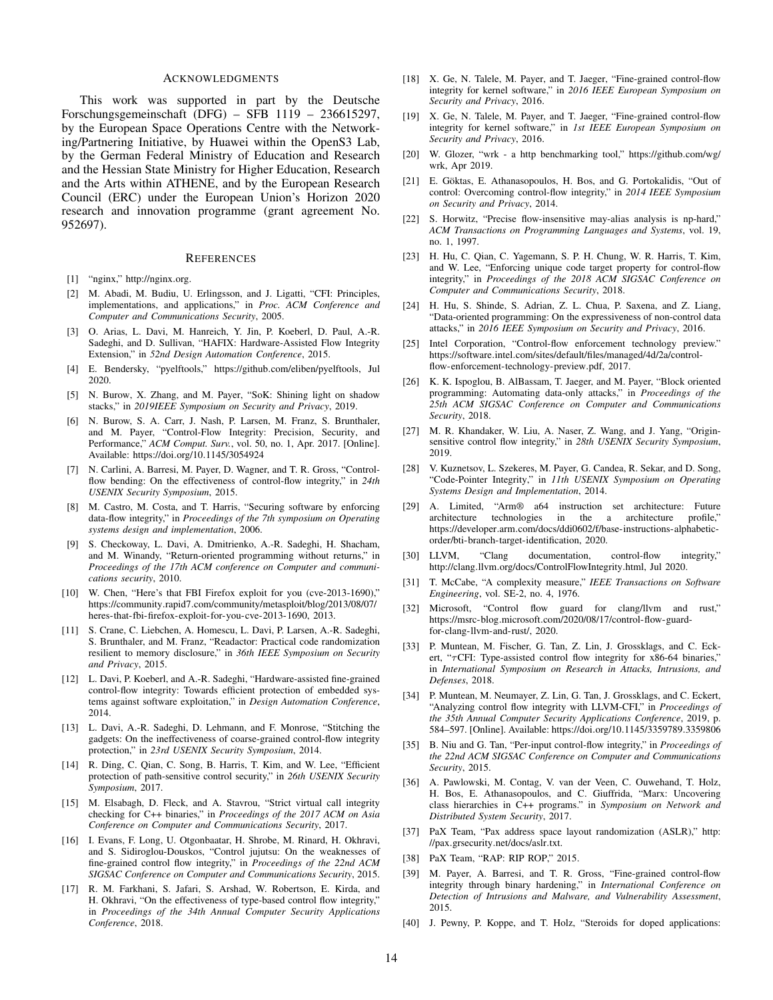#### ACKNOWLEDGMENTS

This work was supported in part by the Deutsche Forschungsgemeinschaft (DFG) – SFB 1119 – 236615297, by the European Space Operations Centre with the Networking/Partnering Initiative, by Huawei within the OpenS3 Lab, by the German Federal Ministry of Education and Research and the Hessian State Ministry for Higher Education, Research and the Arts within ATHENE, and by the European Research Council (ERC) under the European Union's Horizon 2020 research and innovation programme (grant agreement No. 952697).

#### **REFERENCES**

- <span id="page-13-28"></span>[1] "nginx," [http://nginx](http://nginx.org).org.
- <span id="page-13-1"></span>[2] M. Abadi, M. Budiu, U. Erlingsson, and J. Ligatti, "CFI: Principles, implementations, and applications," in *Proc. ACM Conference and Computer and Communications Security*, 2005.
- <span id="page-13-11"></span>[3] O. Arias, L. Davi, M. Hanreich, Y. Jin, P. Koeberl, D. Paul, A.-R. Sadeghi, and D. Sullivan, "HAFIX: Hardware-Assisted Flow Integrity Extension," in *52nd Design Automation Conference*, 2015.
- <span id="page-13-27"></span>[4] E. Bendersky, "pyelftools," https://github.[com/eliben/pyelftools,](https://github.com/eliben/pyelftools) Jul 2020.
- <span id="page-13-20"></span>[5] N. Burow, X. Zhang, and M. Payer, "SoK: Shining light on shadow stacks," in *2019IEEE Symposium on Security and Privacy*, 2019.
- <span id="page-13-2"></span>[6] N. Burow, S. A. Carr, J. Nash, P. Larsen, M. Franz, S. Brunthaler, and M. Payer, "Control-Flow Integrity: Precision, Security, and Performance," *ACM Comput. Surv.*, vol. 50, no. 1, Apr. 2017. [Online]. Available: https://doi.org/10.[1145/3054924](https://doi.org/10.1145/3054924)
- <span id="page-13-19"></span>[7] N. Carlini, A. Barresi, M. Payer, D. Wagner, and T. R. Gross, "Controlflow bending: On the effectiveness of control-flow integrity," in *24th USENIX Security Symposium*, 2015.
- <span id="page-13-18"></span>[8] M. Castro, M. Costa, and T. Harris, "Securing software by enforcing data-flow integrity," in *Proceedings of the 7th symposium on Operating systems design and implementation*, 2006.
- <span id="page-13-8"></span>[9] S. Checkoway, L. Davi, A. Dmitrienko, A.-R. Sadeghi, H. Shacham, and M. Winandy, "Return-oriented programming without returns," in *Proceedings of the 17th ACM conference on Computer and communications security*, 2010.
- <span id="page-13-7"></span>[10] W. Chen, "Here's that FBI Firefox exploit for you (cve-2013-1690)," https://community.rapid7.[com/community/metasploit/blog/2013/08/07/](https://community.rapid7.com/community/metasploit/blog/2013/08/07/heres-that-fbi-firefox-exploit-for-you-cve-2013-1690) [heres-that-fbi-firefox-exploit-for-you-cve-2013-1690,](https://community.rapid7.com/community/metasploit/blog/2013/08/07/heres-that-fbi-firefox-exploit-for-you-cve-2013-1690) 2013.
- <span id="page-13-13"></span>[11] S. Crane, C. Liebchen, A. Homescu, L. Davi, P. Larsen, A.-R. Sadeghi, S. Brunthaler, and M. Franz, "Readactor: Practical code randomization resilient to memory disclosure," in *36th IEEE Symposium on Security and Privacy*, 2015.
- <span id="page-13-9"></span>[12] L. Davi, P. Koeberl, and A.-R. Sadeghi, "Hardware-assisted fine-grained control-flow integrity: Towards efficient protection of embedded systems against software exploitation," in *Design Automation Conference*, 2014.
- <span id="page-13-3"></span>[13] L. Davi, A.-R. Sadeghi, D. Lehmann, and F. Monrose, "Stitching the gadgets: On the ineffectiveness of coarse-grained control-flow integrity protection," in *23rd USENIX Security Symposium*, 2014.
- <span id="page-13-35"></span>[14] R. Ding, C. Qian, C. Song, B. Harris, T. Kim, and W. Lee, "Efficient protection of path-sensitive control security," in *26th USENIX Security Symposium*, 2017.
- <span id="page-13-33"></span>[15] M. Elsabagh, D. Fleck, and A. Stavrou, "Strict virtual call integrity checking for C++ binaries," in *Proceedings of the 2017 ACM on Asia Conference on Computer and Communications Security*, 2017.
- <span id="page-13-25"></span>[16] I. Evans, F. Long, U. Otgonbaatar, H. Shrobe, M. Rinard, H. Okhravi, and S. Sidiroglou-Douskos, "Control jujutsu: On the weaknesses of fine-grained control flow integrity," in *Proceedings of the 22nd ACM SIGSAC Conference on Computer and Communications Security*, 2015.
- <span id="page-13-22"></span>[17] R. M. Farkhani, S. Jafari, S. Arshad, W. Robertson, E. Kirda, and H. Okhravi, "On the effectiveness of type-based control flow integrity," in *Proceedings of the 34th Annual Computer Security Applications Conference*, 2018.
- <span id="page-13-5"></span>[18] X. Ge, N. Talele, M. Payer, and T. Jaeger, "Fine-grained control-flow integrity for kernel software," in *2016 IEEE European Symposium on Security and Privacy*, 2016.
- <span id="page-13-10"></span>[19] X. Ge, N. Talele, M. Payer, and T. Jaeger, "Fine-grained control-flow integrity for kernel software," in *1st IEEE European Symposium on Security and Privacy*, 2016.
- <span id="page-13-29"></span>[20] W. Glozer, "wrk - a http benchmarking tool," [https://github](https://github.com/wg/wrk).com/wg/ [wrk,](https://github.com/wg/wrk) Apr 2019.
- <span id="page-13-4"></span>[21] E. Göktas, E. Athanasopoulos, H. Bos, and G. Portokalidis, "Out of control: Overcoming control-flow integrity," in *2014 IEEE Symposium on Security and Privacy*, 2014.
- <span id="page-13-38"></span>[22] S. Horwitz, "Precise flow-insensitive may-alias analysis is np-hard," *ACM Transactions on Programming Languages and Systems*, vol. 19, no. 1, 1997.
- <span id="page-13-36"></span>[23] H. Hu, C. Qian, C. Yagemann, S. P. H. Chung, W. R. Harris, T. Kim, and W. Lee, "Enforcing unique code target property for control-flow integrity," in *Proceedings of the 2018 ACM SIGSAC Conference on Computer and Communications Security*, 2018.
- <span id="page-13-16"></span>[24] H. Hu, S. Shinde, S. Adrian, Z. L. Chua, P. Saxena, and Z. Liang, "Data-oriented programming: On the expressiveness of non-control data attacks," in *2016 IEEE Symposium on Security and Privacy*, 2016.
- <span id="page-13-15"></span>[25] Intel Corporation, "Control-flow enforcement technology preview." https://software.intel.[com/sites/default/files/managed/4d/2a/control](https://software.intel.com/sites/default/files/managed/4d/2a/control-flow-enforcement-technology-preview.pdf)[flow-enforcement-technology-preview](https://software.intel.com/sites/default/files/managed/4d/2a/control-flow-enforcement-technology-preview.pdf).pdf, 2017.
- <span id="page-13-17"></span>[26] K. K. Ispoglou, B. AlBassam, T. Jaeger, and M. Payer, "Block oriented programming: Automating data-only attacks," in *Proceedings of the 25th ACM SIGSAC Conference on Computer and Communications Security*, 2018.
- <span id="page-13-37"></span>[27] M. R. Khandaker, W. Liu, A. Naser, Z. Wang, and J. Yang, "Originsensitive control flow integrity," in *28th USENIX Security Symposium*, 2019.
- <span id="page-13-12"></span>[28] V. Kuznetsov, L. Szekeres, M. Payer, G. Candea, R. Sekar, and D. Song, "Code-Pointer Integrity," in *11th USENIX Symposium on Operating Systems Design and Implementation*, 2014.
- <span id="page-13-24"></span>[29] A. Limited, "Arm® a64 instruction set architecture: Future architecture technologies in the a architecture profile," https://developer.arm.[com/docs/ddi0602/f/base-instructions-alphabetic](https://developer.arm.com/docs/ddi0602/f/base-instructions-alphabetic-order/bti-branch-target-identification)[order/bti-branch-target-identification,](https://developer.arm.com/docs/ddi0602/f/base-instructions-alphabetic-order/bti-branch-target-identification) 2020.
- <span id="page-13-14"></span>[30] LLVM, "Clang documentation, control-flow integrity," http://clang.llvm.[org/docs/ControlFlowIntegrity](http://clang.llvm.org/docs/ControlFlowIntegrity.html).html, Jul 2020.
- <span id="page-13-26"></span>[31] T. McCabe, "A complexity measure," *IEEE Transactions on Software Engineering*, vol. SE-2, no. 4, 1976.
- <span id="page-13-23"></span>[32] Microsoft, "Control flow guard for clang/llvm and rust," https://msrc-blog.microsoft.[com/2020/08/17/control-flow-guard](https://msrc-blog.microsoft.com/2020/08/17/control-flow-guard-for-clang-llvm-and-rust/)[for-clang-llvm-and-rust/,](https://msrc-blog.microsoft.com/2020/08/17/control-flow-guard-for-clang-llvm-and-rust/) 2020.
- <span id="page-13-31"></span>[33] P. Muntean, M. Fischer, G. Tan, Z. Lin, J. Grossklags, and C. Eckert, " $\tau$ CFI: Type-assisted control flow integrity for x86-64 binaries," in *International Symposium on Research in Attacks, Intrusions, and Defenses*, 2018.
- <span id="page-13-6"></span>[34] P. Muntean, M. Neumayer, Z. Lin, G. Tan, J. Grossklags, and C. Eckert, "Analyzing control flow integrity with LLVM-CFI," in *Proceedings of the 35th Annual Computer Security Applications Conference*, 2019, p. 584–597. [Online]. Available: https://doi.org/10.[1145/3359789](https://doi.org/10.1145/3359789.3359806).3359806
- <span id="page-13-34"></span>[35] B. Niu and G. Tan, "Per-input control-flow integrity," in *Proceedings of the 22nd ACM SIGSAC Conference on Computer and Communications Security*, 2015.
- <span id="page-13-32"></span>[36] A. Pawlowski, M. Contag, V. van der Veen, C. Ouwehand, T. Holz, H. Bos, E. Athanasopoulos, and C. Giuffrida, "Marx: Uncovering class hierarchies in C++ programs." in *Symposium on Network and Distributed System Security*, 2017.
- <span id="page-13-0"></span>[37] PaX Team, "Pax address space layout randomization (ASLR)," [http:](http://pax.grsecurity.net/docs/aslr.txt) //pax.grsecurity.[net/docs/aslr](http://pax.grsecurity.net/docs/aslr.txt).txt.
- <span id="page-13-21"></span>[38] PaX Team, "RAP: RIP ROP," 2015.
- <span id="page-13-30"></span>[39] M. Payer, A. Barresi, and T. R. Gross, "Fine-grained control-flow integrity through binary hardening," in *International Conference on Detection of Intrusions and Malware, and Vulnerability Assessment*, 2015.
- <span id="page-13-39"></span>[40] J. Pewny, P. Koppe, and T. Holz, "Steroids for doped applications: